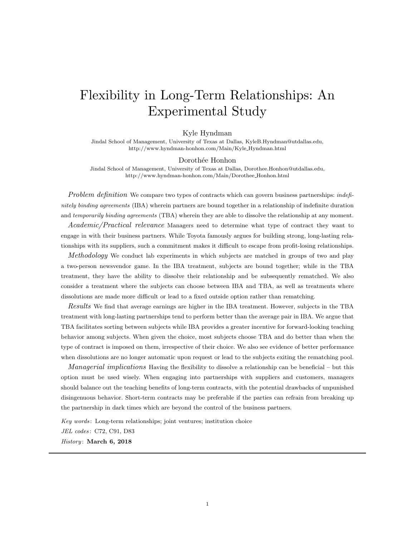# Flexibility in Long-Term Relationships: An Experimental Study

#### Kyle Hyndman

Jindal School of Management, University of Texas at Dallas, KyleB.Hyndman@utdallas.edu, http://www.hyndman-honhon.com/Main/Kyle Hyndman.html

#### Dorothée Honhon

Jindal School of Management, University of Texas at Dallas, Dorothee.Honhon@utdallas.edu, http://www.hyndman-honhon.com/Main/Dorothee Honhon.html

Problem definition We compare two types of contracts which can govern business partnerships: *indefi*nitely binding agreements (IBA) wherein partners are bound together in a relationship of indefinite duration and temporarily binding agreements (TBA) wherein they are able to dissolve the relationship at any moment.

Academic/Practical relevance Managers need to determine what type of contract they want to engage in with their business partners. While Toyota famously argues for building strong, long-lasting relationships with its suppliers, such a commitment makes it difficult to escape from profit-losing relationships.

Methodology We conduct lab experiments in which subjects are matched in groups of two and play a two-person newsvendor game. In the IBA treatment, subjects are bound together; while in the TBA treatment, they have the ability to dissolve their relationship and be subsequently rematched. We also consider a treatment where the subjects can choose between IBA and TBA, as well as treatments where dissolutions are made more difficult or lead to a fixed outside option rather than rematching.

Results We find that average earnings are higher in the IBA treatment. However, subjects in the TBA treatment with long-lasting partnerships tend to perform better than the average pair in IBA. We argue that TBA facilitates sorting between subjects while IBA provides a greater incentive for forward-looking teaching behavior among subjects. When given the choice, most subjects choose TBA and do better than when the type of contract is imposed on them, irrespective of their choice. We also see evidence of better performance when dissolutions are no longer automatic upon request or lead to the subjects exiting the rematching pool.

Managerial implications Having the flexibility to dissolve a relationship can be beneficial – but this option must be used wisely. When engaging into partnerships with suppliers and customers, managers should balance out the teaching benefits of long-term contracts, with the potential drawbacks of unpunished disingenuous behavior. Short-term contracts may be preferable if the parties can refrain from breaking up the partnership in dark times which are beyond the control of the business partners.

Key words : Long-term relationships; joint ventures; institution choice JEL codes : C72, C91, D83 History: March 6, 2018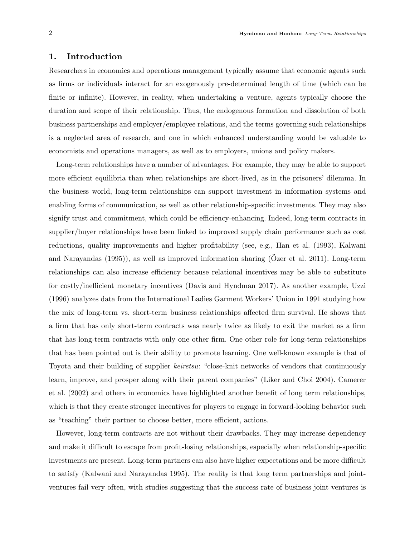# 1. Introduction

Researchers in economics and operations management typically assume that economic agents such as firms or individuals interact for an exogenously pre-determined length of time (which can be finite or infinite). However, in reality, when undertaking a venture, agents typically choose the duration and scope of their relationship. Thus, the endogenous formation and dissolution of both business partnerships and employer/employee relations, and the terms governing such relationships is a neglected area of research, and one in which enhanced understanding would be valuable to economists and operations managers, as well as to employers, unions and policy makers.

Long-term relationships have a number of advantages. For example, they may be able to support more efficient equilibria than when relationships are short-lived, as in the prisoners' dilemma. In the business world, long-term relationships can support investment in information systems and enabling forms of communication, as well as other relationship-specific investments. They may also signify trust and commitment, which could be efficiency-enhancing. Indeed, long-term contracts in supplier/buyer relationships have been linked to improved supply chain performance such as cost reductions, quality improvements and higher profitability (see, e.g., Han et al. (1993), Kalwani and Narayandas (1995)), as well as improved information sharing (Ozer et al. 2011). Long-term relationships can also increase efficiency because relational incentives may be able to substitute for costly/inefficient monetary incentives (Davis and Hyndman 2017). As another example, Uzzi (1996) analyzes data from the International Ladies Garment Workers' Union in 1991 studying how the mix of long-term vs. short-term business relationships affected firm survival. He shows that a firm that has only short-term contracts was nearly twice as likely to exit the market as a firm that has long-term contracts with only one other firm. One other role for long-term relationships that has been pointed out is their ability to promote learning. One well-known example is that of Toyota and their building of supplier keiretsu: "close-knit networks of vendors that continuously learn, improve, and prosper along with their parent companies" (Liker and Choi 2004). Camerer et al. (2002) and others in economics have highlighted another benefit of long term relationships, which is that they create stronger incentives for players to engage in forward-looking behavior such as "teaching" their partner to choose better, more efficient, actions.

However, long-term contracts are not without their drawbacks. They may increase dependency and make it difficult to escape from profit-losing relationships, especially when relationship-specific investments are present. Long-term partners can also have higher expectations and be more difficult to satisfy (Kalwani and Narayandas 1995). The reality is that long term partnerships and jointventures fail very often, with studies suggesting that the success rate of business joint ventures is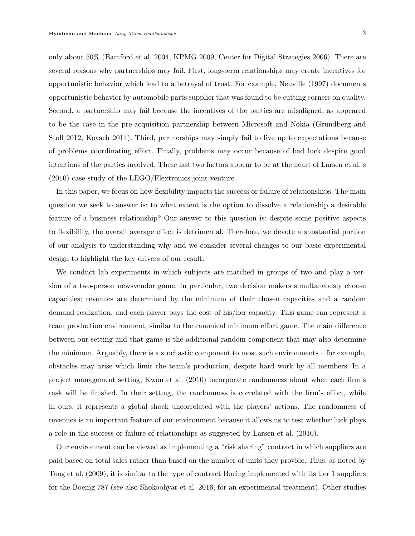only about 50% (Bamford et al. 2004, KPMG 2009, Center for Digital Strategies 2006). There are several reasons why partnerships may fail. First, long-term relationships may create incentives for opportunistic behavior which lead to a betrayal of trust. For example, Neuville (1997) documents opportunistic behavior by automobile parts supplier that was found to be cutting corners on quality. Second, a partnership may fail because the incentives of the parties are misaligned, as appeared to be the case in the pre-acquisition partnership between Microsoft and Nokia (Grundberg and Stoll 2012, Kovach 2014). Third, partnerships may simply fail to live up to expectations because of problems coordinating effort. Finally, problems may occur because of bad luck despite good intentions of the parties involved. These last two factors appear to be at the heart of Larsen et al.'s (2010) case study of the LEGO/Flextronics joint venture.

In this paper, we focus on how flexibility impacts the success or failure of relationships. The main question we seek to answer is: to what extent is the option to dissolve a relationship a desirable feature of a business relationship? Our answer to this question is: despite some positive aspects to flexibility, the overall average effect is detrimental. Therefore, we devote a substantial portion of our analysis to understanding why and we consider several changes to our basic experimental design to highlight the key drivers of our result.

We conduct lab experiments in which subjects are matched in groups of two and play a version of a two-person newsvendor game. In particular, two decision makers simultaneously choose capacities; revenues are determined by the minimum of their chosen capacities and a random demand realization, and each player pays the cost of his/her capacity. This game can represent a team production environment, similar to the canonical minimum effort game. The main difference between our setting and that game is the additional random component that may also determine the minimum. Arguably, there is a stochastic component to most such environments – for example, obstacles may arise which limit the team's production, despite hard work by all members. In a project management setting, Kwon et al. (2010) incorporate randomness about when each firm's task will be finished. In their setting, the randomness is correlated with the firm's effort, while in ours, it represents a global shock uncorrelated with the players' actions. The randomness of revenues is an important feature of our environment because it allows us to test whether luck plays a role in the success or failure of relationships as suggested by Larsen et al. (2010).

Our environment can be viewed as implementing a "risk sharing" contract in which suppliers are paid based on total sales rather than based on the number of units they provide. Thus, as noted by Tang et al. (2009), it is similar to the type of contract Boeing implemented with its tier 1 suppliers for the Boeing 787 (see also Shokoohyar et al. 2016, for an experimental treatment). Other studies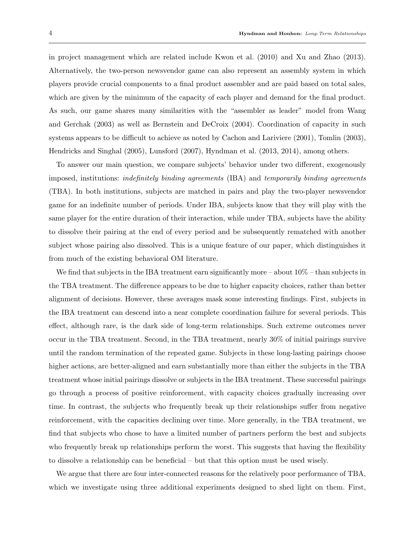in project management which are related include Kwon et al. (2010) and Xu and Zhao (2013). Alternatively, the two-person newsvendor game can also represent an assembly system in which players provide crucial components to a final product assembler and are paid based on total sales, which are given by the minimum of the capacity of each player and demand for the final product. As such, our game shares many similarities with the "assembler as leader" model from Wang and Gerchak (2003) as well as Bernstein and DeCroix (2004). Coordination of capacity in such systems appears to be difficult to achieve as noted by Cachon and Lariviere (2001), Tomlin (2003), Hendricks and Singhal (2005), Lunsford (2007), Hyndman et al. (2013, 2014), among others.

To answer our main question, we compare subjects' behavior under two different, exogenously imposed, institutions: indefinitely binding agreements (IBA) and temporarily binding agreements (TBA). In both institutions, subjects are matched in pairs and play the two-player newsvendor game for an indefinite number of periods. Under IBA, subjects know that they will play with the same player for the entire duration of their interaction, while under TBA, subjects have the ability to dissolve their pairing at the end of every period and be subsequently rematched with another subject whose pairing also dissolved. This is a unique feature of our paper, which distinguishes it from much of the existing behavioral OM literature.

We find that subjects in the IBA treatment earn significantly more – about  $10\%$  – than subjects in the TBA treatment. The difference appears to be due to higher capacity choices, rather than better alignment of decisions. However, these averages mask some interesting findings. First, subjects in the IBA treatment can descend into a near complete coordination failure for several periods. This effect, although rare, is the dark side of long-term relationships. Such extreme outcomes never occur in the TBA treatment. Second, in the TBA treatment, nearly 30% of initial pairings survive until the random termination of the repeated game. Subjects in these long-lasting pairings choose higher actions, are better-aligned and earn substantially more than either the subjects in the TBA treatment whose initial pairings dissolve or subjects in the IBA treatment. These successful pairings go through a process of positive reinforcement, with capacity choices gradually increasing over time. In contrast, the subjects who frequently break up their relationships suffer from negative reinforcement, with the capacities declining over time. More generally, in the TBA treatment, we find that subjects who chose to have a limited number of partners perform the best and subjects who frequently break up relationships perform the worst. This suggests that having the flexibility to dissolve a relationship can be beneficial – but that this option must be used wisely.

We argue that there are four inter-connected reasons for the relatively poor performance of TBA, which we investigate using three additional experiments designed to shed light on them. First,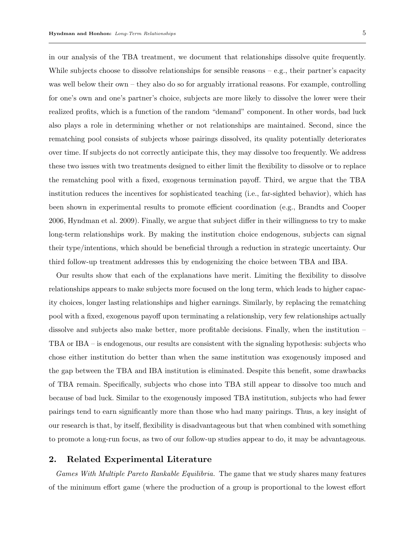in our analysis of the TBA treatment, we document that relationships dissolve quite frequently. While subjects choose to dissolve relationships for sensible reasons  $-e.g.,$  their partner's capacity was well below their own – they also do so for arguably irrational reasons. For example, controlling for one's own and one's partner's choice, subjects are more likely to dissolve the lower were their realized profits, which is a function of the random "demand" component. In other words, bad luck also plays a role in determining whether or not relationships are maintained. Second, since the rematching pool consists of subjects whose pairings dissolved, its quality potentially deteriorates over time. If subjects do not correctly anticipate this, they may dissolve too frequently. We address these two issues with two treatments designed to either limit the flexibility to dissolve or to replace the rematching pool with a fixed, exogenous termination payoff. Third, we argue that the TBA institution reduces the incentives for sophisticated teaching (i.e., far-sighted behavior), which has been shown in experimental results to promote efficient coordination (e.g., Brandts and Cooper 2006, Hyndman et al. 2009). Finally, we argue that subject differ in their willingness to try to make long-term relationships work. By making the institution choice endogenous, subjects can signal their type/intentions, which should be beneficial through a reduction in strategic uncertainty. Our third follow-up treatment addresses this by endogenizing the choice between TBA and IBA.

Our results show that each of the explanations have merit. Limiting the flexibility to dissolve relationships appears to make subjects more focused on the long term, which leads to higher capacity choices, longer lasting relationships and higher earnings. Similarly, by replacing the rematching pool with a fixed, exogenous payoff upon terminating a relationship, very few relationships actually dissolve and subjects also make better, more profitable decisions. Finally, when the institution – TBA or IBA – is endogenous, our results are consistent with the signaling hypothesis: subjects who chose either institution do better than when the same institution was exogenously imposed and the gap between the TBA and IBA institution is eliminated. Despite this benefit, some drawbacks of TBA remain. Specifically, subjects who chose into TBA still appear to dissolve too much and because of bad luck. Similar to the exogenously imposed TBA institution, subjects who had fewer pairings tend to earn significantly more than those who had many pairings. Thus, a key insight of our research is that, by itself, flexibility is disadvantageous but that when combined with something to promote a long-run focus, as two of our follow-up studies appear to do, it may be advantageous.

# 2. Related Experimental Literature

Games With Multiple Pareto Rankable Equilibria. The game that we study shares many features of the minimum effort game (where the production of a group is proportional to the lowest effort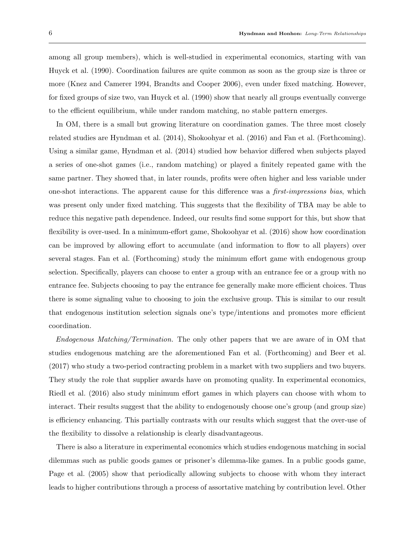among all group members), which is well-studied in experimental economics, starting with van Huyck et al. (1990). Coordination failures are quite common as soon as the group size is three or more (Knez and Camerer 1994, Brandts and Cooper 2006), even under fixed matching. However, for fixed groups of size two, van Huyck et al. (1990) show that nearly all groups eventually converge to the efficient equilibrium, while under random matching, no stable pattern emerges.

In OM, there is a small but growing literature on coordination games. The three most closely related studies are Hyndman et al. (2014), Shokoohyar et al. (2016) and Fan et al. (Forthcoming). Using a similar game, Hyndman et al. (2014) studied how behavior differed when subjects played a series of one-shot games (i.e., random matching) or played a finitely repeated game with the same partner. They showed that, in later rounds, profits were often higher and less variable under one-shot interactions. The apparent cause for this difference was a first-impressions bias, which was present only under fixed matching. This suggests that the flexibility of TBA may be able to reduce this negative path dependence. Indeed, our results find some support for this, but show that flexibility is over-used. In a minimum-effort game, Shokoohyar et al. (2016) show how coordination can be improved by allowing effort to accumulate (and information to flow to all players) over several stages. Fan et al. (Forthcoming) study the minimum effort game with endogenous group selection. Specifically, players can choose to enter a group with an entrance fee or a group with no entrance fee. Subjects choosing to pay the entrance fee generally make more efficient choices. Thus there is some signaling value to choosing to join the exclusive group. This is similar to our result that endogenous institution selection signals one's type/intentions and promotes more efficient coordination.

Endogenous Matching/Termination. The only other papers that we are aware of in OM that studies endogenous matching are the aforementioned Fan et al. (Forthcoming) and Beer et al. (2017) who study a two-period contracting problem in a market with two suppliers and two buyers. They study the role that supplier awards have on promoting quality. In experimental economics, Riedl et al. (2016) also study minimum effort games in which players can choose with whom to interact. Their results suggest that the ability to endogenously choose one's group (and group size) is efficiency enhancing. This partially contrasts with our results which suggest that the over-use of the flexibility to dissolve a relationship is clearly disadvantageous.

There is also a literature in experimental economics which studies endogenous matching in social dilemmas such as public goods games or prisoner's dilemma-like games. In a public goods game, Page et al. (2005) show that periodically allowing subjects to choose with whom they interact leads to higher contributions through a process of assortative matching by contribution level. Other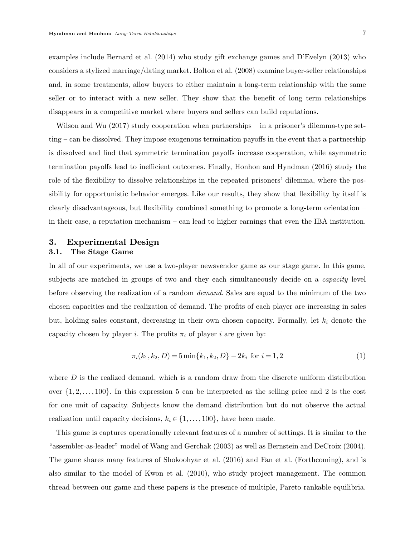examples include Bernard et al. (2014) who study gift exchange games and D'Evelyn (2013) who considers a stylized marriage/dating market. Bolton et al. (2008) examine buyer-seller relationships and, in some treatments, allow buyers to either maintain a long-term relationship with the same seller or to interact with a new seller. They show that the benefit of long term relationships disappears in a competitive market where buyers and sellers can build reputations.

Wilson and Wu (2017) study cooperation when partnerships – in a prisoner's dilemma-type setting – can be dissolved. They impose exogenous termination payoffs in the event that a partnership is dissolved and find that symmetric termination payoffs increase cooperation, while asymmetric termination payoffs lead to inefficient outcomes. Finally, Honhon and Hyndman (2016) study the role of the flexibility to dissolve relationships in the repeated prisoners' dilemma, where the possibility for opportunistic behavior emerges. Like our results, they show that flexibility by itself is clearly disadvantageous, but flexibility combined something to promote a long-term orientation – in their case, a reputation mechanism – can lead to higher earnings that even the IBA institution.

# 3. Experimental Design 3.1. The Stage Game

In all of our experiments, we use a two-player newsvendor game as our stage game. In this game, subjects are matched in groups of two and they each simultaneously decide on a *capacity* level before observing the realization of a random demand. Sales are equal to the minimum of the two chosen capacities and the realization of demand. The profits of each player are increasing in sales but, holding sales constant, decreasing in their own chosen capacity. Formally, let  $k_i$  denote the capacity chosen by player *i*. The profits  $\pi_i$  of player *i* are given by:

$$
\pi_i(k_1, k_2, D) = 5 \min\{k_1, k_2, D\} - 2k_i \text{ for } i = 1, 2
$$
\n(1)

where  $D$  is the realized demand, which is a random draw from the discrete uniform distribution over  $\{1, 2, \ldots, 100\}$ . In this expression 5 can be interpreted as the selling price and 2 is the cost for one unit of capacity. Subjects know the demand distribution but do not observe the actual realization until capacity decisions,  $k_i \in \{1, \ldots, 100\}$ , have been made.

This game is captures operationally relevant features of a number of settings. It is similar to the "assembler-as-leader" model of Wang and Gerchak (2003) as well as Bernstein and DeCroix (2004). The game shares many features of Shokoohyar et al. (2016) and Fan et al. (Forthcoming), and is also similar to the model of Kwon et al. (2010), who study project management. The common thread between our game and these papers is the presence of multiple, Pareto rankable equilibria.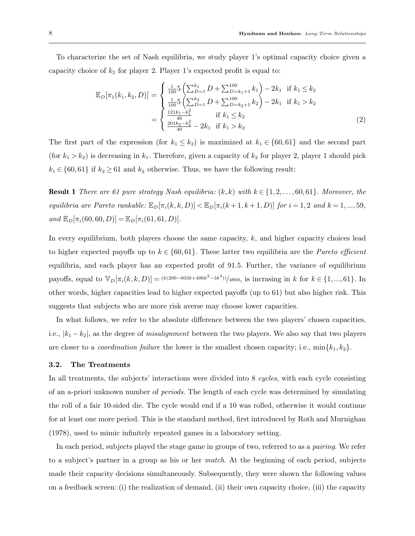To characterize the set of Nash equilibria, we study player 1's optimal capacity choice given a capacity choice of  $k_2$  for player 2. Player 1's expected profit is equal to:

$$
\mathbb{E}_{D}[\pi_1(k_1, k_2, D)] = \begin{cases}\n\frac{1}{100} 5 \left( \sum_{D=1}^{k_1} D + \sum_{D=k_1+1}^{100} k_1 \right) - 2k_1 & \text{if } k_1 \le k_2 \\
\frac{1}{100} 5 \left( \sum_{D=1}^{k_2} D + \sum_{D=k_2+1}^{100} k_2 \right) - 2k_1 & \text{if } k_1 > k_2\n\end{cases}
$$
\n
$$
= \begin{cases}\n\frac{121k_1 - k_1^2}{40} & \text{if } k_1 \le k_2 \\
\frac{201k_2 - k_2^2}{40} - 2k_1 & \text{if } k_1 > k_2\n\end{cases}
$$
\n(2)

The first part of the expression (for  $k_1 \leq k_2$ ) is maximized at  $k_1 \in \{60, 61\}$  and the second part (for  $k_1 > k_2$ ) is decreasing in  $k_1$ . Therefore, given a capacity of  $k_2$  for player 2, player 1 should pick  $k_1 \in \{60, 61\}$  if  $k_2 \ge 61$  and  $k_2$  otherwise. Thus, we have the following result:

**Result 1** There are 61 pure strategy Nash equilibria:  $(k, k)$  with  $k \in \{1, 2, ..., 60, 61\}$ . Moreover, the equilibria are Pareto rankable:  $\mathbb{E}_D[\pi_i(k, k, D)] < \mathbb{E}_D[\pi_i(k+1, k+1, D)]$  for  $i = 1, 2$  and  $k = 1, ..., 59$ , and  $\mathbb{E}_D[\pi_i(60, 60, D)] = \mathbb{E}_D[\pi_i(61, 61, D)].$ 

In every equilibrium, both players choose the same capacity, k, and higher capacity choices lead to higher expected payoffs up to  $k \in \{60, 61\}$ . These latter two equilibria are the *Pareto efficient* equilibria, and each player has an expected profit of 91.5. Further, the variance of equilibrium payoffs, equal to  $\mathbb{V}_D[\pi_i(k, k, D)] = (k(200 - 603k + 406k^2 - 3k^3))/4800$ , is incrasing in  $k$  for  $k \in \{1, ..., 61\}$ . In other words, higher capacities lead to higher expected payoffs (up to 61) but also higher risk. This suggests that subjects who are more risk averse may choose lower capacities.

In what follows, we refer to the absolute difference between the two players' chosen capacities, i.e.,  $|k_1 - k_2|$ , as the degree of *misalignment* between the two players. We also say that two players are closer to a *coordination failure* the lower is the smallest chosen capacity; i.e.,  $\min\{k_1, k_2\}$ .

# 3.2. The Treatments

In all treatments, the subjects' interactions were divided into 8 cycles, with each cycle consisting of an a-priori unknown number of periods. The length of each cycle was determined by simulating the roll of a fair 10-sided die. The cycle would end if a 10 was rolled, otherwise it would continue for at least one more period. This is the standard method, first introduced by Roth and Murnighan (1978), used to mimic infinitely repeated games in a laboratory setting.

In each period, subjects played the stage game in groups of two, referred to as a pairing. We refer to a subject's partner in a group as his or her match. At the beginning of each period, subjects made their capacity decisions simultaneously. Subsequently, they were shown the following values on a feedback screen: (i) the realization of demand, (ii) their own capacity choice, (iii) the capacity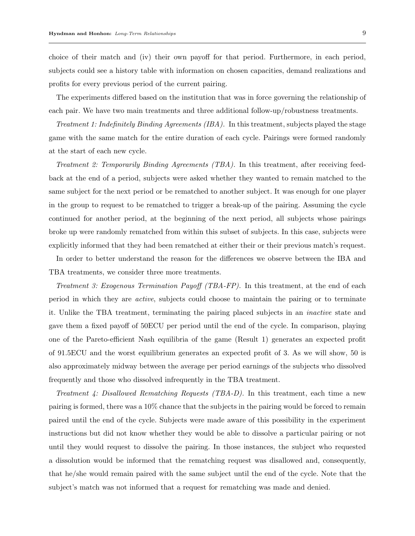choice of their match and (iv) their own payoff for that period. Furthermore, in each period, subjects could see a history table with information on chosen capacities, demand realizations and profits for every previous period of the current pairing.

The experiments differed based on the institution that was in force governing the relationship of each pair. We have two main treatments and three additional follow-up/robustness treatments.

Treatment 1: Indefinitely Binding Agreements (IBA). In this treatment, subjects played the stage game with the same match for the entire duration of each cycle. Pairings were formed randomly at the start of each new cycle.

Treatment 2: Temporarily Binding Agreements (TBA). In this treatment, after receiving feedback at the end of a period, subjects were asked whether they wanted to remain matched to the same subject for the next period or be rematched to another subject. It was enough for one player in the group to request to be rematched to trigger a break-up of the pairing. Assuming the cycle continued for another period, at the beginning of the next period, all subjects whose pairings broke up were randomly rematched from within this subset of subjects. In this case, subjects were explicitly informed that they had been rematched at either their or their previous match's request.

In order to better understand the reason for the differences we observe between the IBA and TBA treatments, we consider three more treatments.

Treatment 3: Exogenous Termination Payoff (TBA-FP). In this treatment, at the end of each period in which they are active, subjects could choose to maintain the pairing or to terminate it. Unlike the TBA treatment, terminating the pairing placed subjects in an inactive state and gave them a fixed payoff of 50ECU per period until the end of the cycle. In comparison, playing one of the Pareto-efficient Nash equilibria of the game (Result 1) generates an expected profit of 91.5ECU and the worst equilibrium generates an expected profit of 3. As we will show, 50 is also approximately midway between the average per period earnings of the subjects who dissolved frequently and those who dissolved infrequently in the TBA treatment.

Treatment 4: Disallowed Rematching Requests (TBA-D). In this treatment, each time a new pairing is formed, there was a 10% chance that the subjects in the pairing would be forced to remain paired until the end of the cycle. Subjects were made aware of this possibility in the experiment instructions but did not know whether they would be able to dissolve a particular pairing or not until they would request to dissolve the pairing. In those instances, the subject who requested a dissolution would be informed that the rematching request was disallowed and, consequently, that he/she would remain paired with the same subject until the end of the cycle. Note that the subject's match was not informed that a request for rematching was made and denied.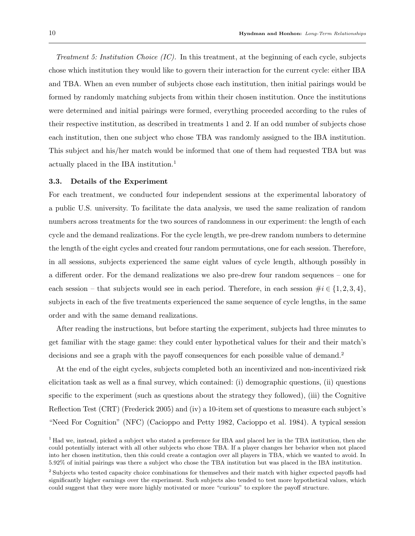Treatment 5: Institution Choice  $(IC)$ . In this treatment, at the beginning of each cycle, subjects chose which institution they would like to govern their interaction for the current cycle: either IBA and TBA. When an even number of subjects chose each institution, then initial pairings would be formed by randomly matching subjects from within their chosen institution. Once the institutions were determined and initial pairings were formed, everything proceeded according to the rules of their respective institution, as described in treatments 1 and 2. If an odd number of subjects chose each institution, then one subject who chose TBA was randomly assigned to the IBA institution. This subject and his/her match would be informed that one of them had requested TBA but was actually placed in the IBA institution.<sup>1</sup>

## 3.3. Details of the Experiment

For each treatment, we conducted four independent sessions at the experimental laboratory of a public U.S. university. To facilitate the data analysis, we used the same realization of random numbers across treatments for the two sources of randomness in our experiment: the length of each cycle and the demand realizations. For the cycle length, we pre-drew random numbers to determine the length of the eight cycles and created four random permutations, one for each session. Therefore, in all sessions, subjects experienced the same eight values of cycle length, although possibly in a different order. For the demand realizations we also pre-drew four random sequences – one for each session – that subjects would see in each period. Therefore, in each session  $\#i \in \{1,2,3,4\},\$ subjects in each of the five treatments experienced the same sequence of cycle lengths, in the same order and with the same demand realizations.

After reading the instructions, but before starting the experiment, subjects had three minutes to get familiar with the stage game: they could enter hypothetical values for their and their match's decisions and see a graph with the payoff consequences for each possible value of demand.<sup>2</sup>

At the end of the eight cycles, subjects completed both an incentivized and non-incentivized risk elicitation task as well as a final survey, which contained: (i) demographic questions, (ii) questions specific to the experiment (such as questions about the strategy they followed), (iii) the Cognitive Reflection Test (CRT) (Frederick 2005) and (iv) a 10-item set of questions to measure each subject's "Need For Cognition" (NFC) (Cacioppo and Petty 1982, Cacioppo et al. 1984). A typical session

<sup>&</sup>lt;sup>1</sup> Had we, instead, picked a subject who stated a preference for IBA and placed her in the TBA institution, then she could potentially interact with all other subjects who chose TBA. If a player changes her behavior when not placed into her chosen institution, then this could create a contagion over all players in TBA, which we wanted to avoid. In 5.92% of initial pairings was there a subject who chose the TBA institution but was placed in the IBA institution.

<sup>&</sup>lt;sup>2</sup> Subjects who tested capacity choice combinations for themselves and their match with higher expected payoffs had significantly higher earnings over the experiment. Such subjects also tended to test more hypothetical values, which could suggest that they were more highly motivated or more "curious" to explore the payoff structure.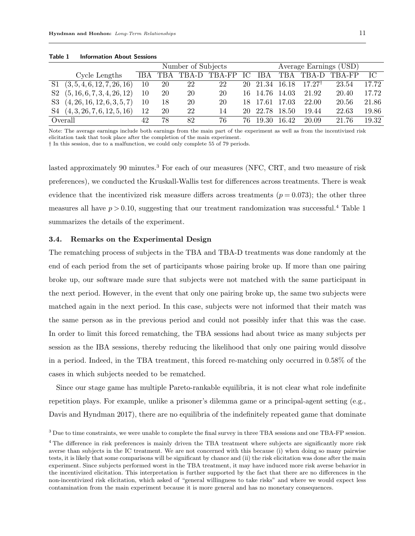|    |                                  |    | Number of Subjects |       |        |     |                |       | Average Earnings (USD) |        |       |
|----|----------------------------------|----|--------------------|-------|--------|-----|----------------|-------|------------------------|--------|-------|
|    | Cycle Lengths                    |    | IBA TBA            | TBA-D | TBA-FP | IС  | IBA -          |       | TBA TBA-D              | TBA-FP | ТC    |
| S1 | (3,5,4,6,12,7,26,16)             | 10 | 20                 | 22    | 22     |     | 20 21.34 16.18 |       | $17.27^{\dagger}$      | 23.54  | 17.72 |
| S2 | (5, 16, 6, 7, 3, 4, 26, 12)      | 10 | 20                 | 20    | 20     |     | 16 14.76 14.03 |       | 21.92                  | 20.40  | 17.72 |
|    | S3 $(4, 26, 16, 12, 6, 3, 5, 7)$ | 10 | 18                 | 20    | 20     |     | 18 17.61       | 17.03 | 22.00                  | 20.56  | 21.86 |
|    | $S4\quad4,3,26,7,6,12,5,16)$     | 12 | 20                 | 22    | 14     |     | 20 22.78 18.50 |       | 19.44                  | 22.63  | 19.86 |
|    | Overall                          | 42 | 78                 | 82    | 76     | 76- | 19.30          | 16.42 | 20.09                  | 21.76  | 19.32 |

#### Table 1 Information About Sessions

Note: The average earnings include both earnings from the main part of the experiment as well as from the incentivized risk elicitation task that took place after the completion of the main experiment.

† In this session, due to a malfunction, we could only complete 55 of 79 periods.

lasted approximately 90 minutes.<sup>3</sup> For each of our measures (NFC, CRT, and two measure of risk preferences), we conducted the Kruskall-Wallis test for differences across treatments. There is weak evidence that the incentivized risk measure differs across treatments  $(p = 0.073)$ ; the other three measures all have  $p > 0.10$ , suggesting that our treatment randomization was successful.<sup>4</sup> Table 1 summarizes the details of the experiment.

## 3.4. Remarks on the Experimental Design

The rematching process of subjects in the TBA and TBA-D treatments was done randomly at the end of each period from the set of participants whose pairing broke up. If more than one pairing broke up, our software made sure that subjects were not matched with the same participant in the next period. However, in the event that only one pairing broke up, the same two subjects were matched again in the next period. In this case, subjects were not informed that their match was the same person as in the previous period and could not possibly infer that this was the case. In order to limit this forced rematching, the TBA sessions had about twice as many subjects per session as the IBA sessions, thereby reducing the likelihood that only one pairing would dissolve in a period. Indeed, in the TBA treatment, this forced re-matching only occurred in 0.58% of the cases in which subjects needed to be rematched.

Since our stage game has multiple Pareto-rankable equilibria, it is not clear what role indefinite repetition plays. For example, unlike a prisoner's dilemma game or a principal-agent setting (e.g., Davis and Hyndman 2017), there are no equilibria of the indefinitely repeated game that dominate

<sup>3</sup> Due to time constraints, we were unable to complete the final survey in three TBA sessions and one TBA-FP session.

<sup>&</sup>lt;sup>4</sup> The difference in risk preferences is mainly driven the TBA treatment where subjects are significantly more risk averse than subjects in the IC treatment. We are not concerned with this because (i) when doing so many pairwise tests, it is likely that some comparisons will be significant by chance and (ii) the risk elicitation was done after the main experiment. Since subjects performed worst in the TBA treatment, it may have induced more risk averse behavior in the incentivized elicitation. This interpretation is further supported by the fact that there are no differences in the non-incentivized risk elicitation, which asked of "general willingness to take risks" and where we would expect less contamination from the main experiment because it is more general and has no monetary consequences.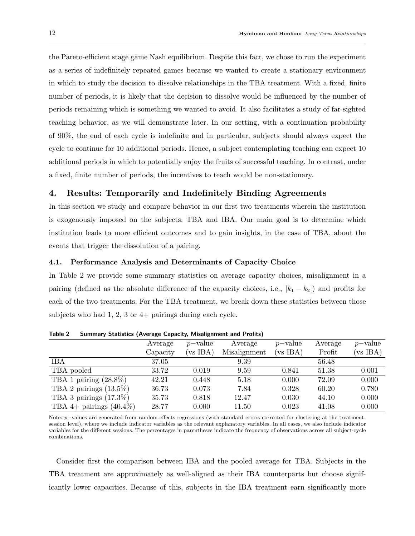the Pareto-efficient stage game Nash equilibrium. Despite this fact, we chose to run the experiment as a series of indefinitely repeated games because we wanted to create a stationary environment in which to study the decision to dissolve relationships in the TBA treatment. With a fixed, finite number of periods, it is likely that the decision to dissolve would be influenced by the number of periods remaining which is something we wanted to avoid. It also facilitates a study of far-sighted teaching behavior, as we will demonstrate later. In our setting, with a continuation probability of 90%, the end of each cycle is indefinite and in particular, subjects should always expect the cycle to continue for 10 additional periods. Hence, a subject contemplating teaching can expect 10 additional periods in which to potentially enjoy the fruits of successful teaching. In contrast, under a fixed, finite number of periods, the incentives to teach would be non-stationary.

# 4. Results: Temporarily and Indefinitely Binding Agreements

In this section we study and compare behavior in our first two treatments wherein the institution is exogenously imposed on the subjects: TBA and IBA. Our main goal is to determine which institution leads to more efficient outcomes and to gain insights, in the case of TBA, about the events that trigger the dissolution of a pairing.

## 4.1. Performance Analysis and Determinants of Capacity Choice

In Table 2 we provide some summary statistics on average capacity choices, misalignment in a pairing (defined as the absolute difference of the capacity choices, i.e.,  $|k_1 - k_2|$ ) and profits for each of the two treatments. For the TBA treatment, we break down these statistics between those subjects who had 1, 2, 3 or 4+ pairings during each cycle.

|                            | Average  | $p$ -value | Average      | $p$ -value | Average | $p$ -value |
|----------------------------|----------|------------|--------------|------------|---------|------------|
|                            | Capacity | (vs IBA)   | Misalignment | (vs IBA)   | Profit  | (vs IBA)   |
| <b>IBA</b>                 | 37.05    |            | 9.39         |            | 56.48   |            |
| TBA pooled                 | 33.72    | 0.019      | 9.59         | 0.841      | 51.38   | 0.001      |
| TBA 1 pairing $(28.8\%)$   | 42.21    | 0.448      | 5.18         | 0.000      | 72.09   | 0.000      |
| TBA 2 pairings $(13.5\%)$  | 36.73    | 0.073      | 7.84         | 0.328      | 60.20   | 0.780      |
| TBA 3 pairings $(17.3\%)$  | 35.73    | 0.818      | 12.47        | 0.030      | 44.10   | 0.000      |
| TBA 4+ pairings $(40.4\%)$ | 28.77    | 0.000      | 11.50        | 0.023      | 41.08   | 0.000      |

Table 2 Summary Statistics (Average Capacity, Misalignment and Profits)

Note: p−values are generated from random-effects regressions (with standard errors corrected for clustering at the treatmentsession level), where we include indicator variables as the relevant explanatory variables. In all cases, we also include indicator variables for the different sessions. The percentages in parentheses indicate the frequency of observations across all subject-cycle combinations.

Consider first the comparison between IBA and the pooled average for TBA. Subjects in the TBA treatment are approximately as well-aligned as their IBA counterparts but choose significantly lower capacities. Because of this, subjects in the IBA treatment earn significantly more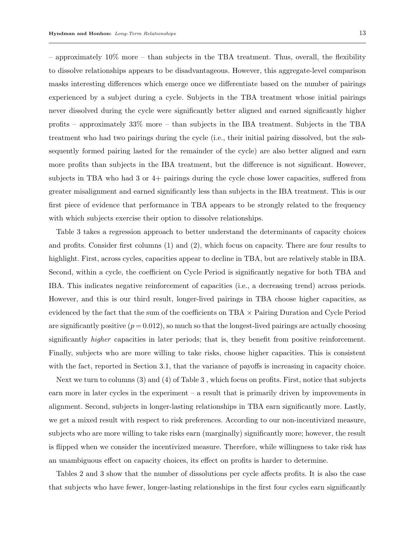– approximately  $10\%$  more – than subjects in the TBA treatment. Thus, overall, the flexibility to dissolve relationships appears to be disadvantageous. However, this aggregate-level comparison masks interesting differences which emerge once we differentiate based on the number of pairings experienced by a subject during a cycle. Subjects in the TBA treatment whose initial pairings never dissolved during the cycle were significantly better aligned and earned significantly higher profits – approximately 33% more – than subjects in the IBA treatment. Subjects in the TBA treatment who had two pairings during the cycle (i.e., their initial pairing dissolved, but the subsequently formed pairing lasted for the remainder of the cycle) are also better aligned and earn more profits than subjects in the IBA treatment, but the difference is not significant. However, subjects in TBA who had 3 or 4+ pairings during the cycle chose lower capacities, suffered from greater misalignment and earned significantly less than subjects in the IBA treatment. This is our first piece of evidence that performance in TBA appears to be strongly related to the frequency with which subjects exercise their option to dissolve relationships.

Table 3 takes a regression approach to better understand the determinants of capacity choices and profits. Consider first columns (1) and (2), which focus on capacity. There are four results to highlight. First, across cycles, capacities appear to decline in TBA, but are relatively stable in IBA. Second, within a cycle, the coefficient on Cycle Period is significantly negative for both TBA and IBA. This indicates negative reinforcement of capacities (i.e., a decreasing trend) across periods. However, and this is our third result, longer-lived pairings in TBA choose higher capacities, as evidenced by the fact that the sum of the coefficients on TBA  $\times$  Pairing Duration and Cycle Period are significantly positive  $(p = 0.012)$ , so much so that the longest-lived pairings are actually choosing significantly *higher* capacities in later periods; that is, they benefit from positive reinforcement. Finally, subjects who are more willing to take risks, choose higher capacities. This is consistent with the fact, reported in Section 3.1, that the variance of payoffs is increasing in capacity choice.

Next we turn to columns (3) and (4) of Table 3 , which focus on profits. First, notice that subjects earn more in later cycles in the experiment – a result that is primarily driven by improvements in alignment. Second, subjects in longer-lasting relationships in TBA earn significantly more. Lastly, we get a mixed result with respect to risk preferences. According to our non-incentivized measure, subjects who are more willing to take risks earn (marginally) significantly more; however, the result is flipped when we consider the incentivized measure. Therefore, while willingness to take risk has an unambiguous effect on capacity choices, its effect on profits is harder to determine.

Tables 2 and 3 show that the number of dissolutions per cycle affects profits. It is also the case that subjects who have fewer, longer-lasting relationships in the first four cycles earn significantly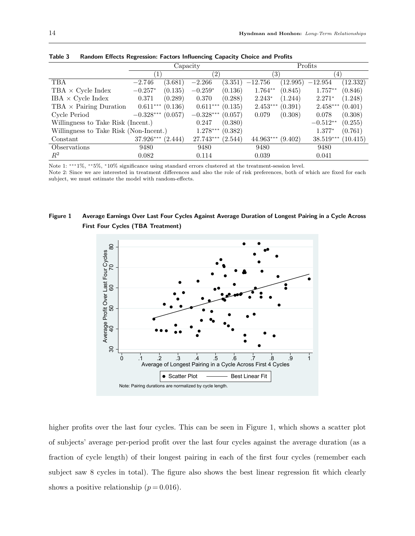|                                        |             | Capacity              | Profits    |                       |  |  |
|----------------------------------------|-------------|-----------------------|------------|-----------------------|--|--|
|                                        |             | (2)                   | 3)         | $\left( 4\right)$     |  |  |
| <b>TBA</b>                             | (3.681)     | (3.351)               | (12.995)   | (12.332)              |  |  |
|                                        | $-2.746$    | $-2.266$              | $-12.756$  | $-12.954$             |  |  |
| $TBA \times Cycle Index$               | (0.135)     | (0.136)               | $1.764**$  | 1.757**               |  |  |
|                                        | $-0.257*$   | $-0.259*$             | (0.845)    | (0.846)               |  |  |
| IBA $\times$ Cycle Index               | (0.289)     | 0.370                 | (1.244)    | $2.271*$              |  |  |
|                                        | 0.371       | (0.288)               | $2.243*$   | (1.248)               |  |  |
| $TBA \times \text{Pairing}$ Duration   | $0.611***$  | (0.135)               | $2.453***$ | $2.458***$            |  |  |
|                                        | (0.136)     | $0.611***$            | (0.391)    | (0.401)               |  |  |
| Cycle Period                           | $-0.328***$ | $-0.328***$           | (0.308)    | 0.078                 |  |  |
|                                        | (0.057)     | (0.057)               | 0.079      | (0.308)               |  |  |
| Willingness to Take Risk (Incent.)     |             | 0.247<br>(0.380)      |            | $-0.512**$<br>(0.255) |  |  |
| Willingness to Take Risk (Non-Incent.) |             | $1.278***$<br>(0.382) |            | 1.377*<br>(0.761)     |  |  |
| Constant                               | $37.926***$ | 27.743***             | 44.963***  | $38.519***$           |  |  |
|                                        | (2.444)     | (2.544)               | (9.402)    | (10.415)              |  |  |
| Observations                           | 9480        | 9480                  | 9480       | 9480                  |  |  |
| $R^2$                                  | 0.082       | 0.114                 | 0.039      | 0.041                 |  |  |

Table 3 Random Effects Regression: Factors Influencing Capacity Choice and Profits

Note 1: ∗∗∗1%, ∗∗5%, <sup>∗</sup>10% significance using standard errors clustered at the treatment-session level.

Note 2: Since we are interested in treatment differences and also the role of risk preferences, both of which are fixed for each subject, we must estimate the model with random-effects.

# Figure 1 Average Earnings Over Last Four Cycles Against Average Duration of Longest Pairing in a Cycle Across First Four Cycles (TBA Treatment)



higher profits over the last four cycles. This can be seen in Figure 1, which shows a scatter plot of subjects' average per-period profit over the last four cycles against the average duration (as a fraction of cycle length) of their longest pairing in each of the first four cycles (remember each subject saw 8 cycles in total). The figure also shows the best linear regression fit which clearly shows a positive relationship  $(p = 0.016)$ .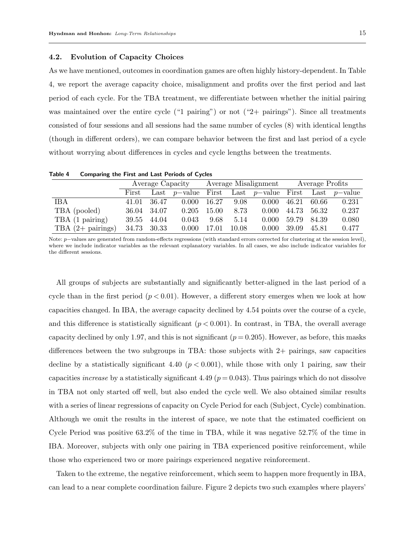#### 4.2. Evolution of Capacity Choices

As we have mentioned, outcomes in coordination games are often highly history-dependent. In Table 4, we report the average capacity choice, misalignment and profits over the first period and last period of each cycle. For the TBA treatment, we differentiate between whether the initial pairing was maintained over the entire cycle ("1 pairing") or not ("2+ pairings"). Since all treatments consisted of four sessions and all sessions had the same number of cycles (8) with identical lengths (though in different orders), we can compare behavior between the first and last period of a cycle without worrying about differences in cycles and cycle lengths between the treatments.

Table 4 Comparing the First and Last Periods of Cycles

|                     | Average Capacity |         | Average Misalignment                               |       |       | Average Profits |       |       |       |
|---------------------|------------------|---------|----------------------------------------------------|-------|-------|-----------------|-------|-------|-------|
|                     | First            |         | Last p-value First Last p-value First Last p-value |       |       |                 |       |       |       |
| <b>IBA</b>          | 41.01            | - 36.47 | 0.000                                              | 16.27 | 9.08  | 0.000           | 46.21 | 60.66 | 0.231 |
| TBA (pooled)        | 36.04 34.07      |         | 0.205                                              | 15.00 | 8.73  | 0.000           | 44.73 | 56.32 | 0.237 |
| TBA (1 pairing)     | 39.55            | 44.04   | 0.043                                              | 9.68  | 5.14  | 0.000           | 59.79 | 84.39 | 0.080 |
| TBA $(2+$ pairings) | 34.73 30.33      |         | 0.000                                              | 17.01 | 10.08 | 0.000           | 39.09 | 45.81 | 0.477 |

Note: p−values are generated from random-effects regressions (with standard errors corrected for clustering at the session level), where we include indicator variables as the relevant explanatory variables. In all cases, we also include indicator variables for the different sessions.

All groups of subjects are substantially and significantly better-aligned in the last period of a cycle than in the first period  $(p < 0.01)$ . However, a different story emerges when we look at how capacities changed. In IBA, the average capacity declined by 4.54 points over the course of a cycle, and this difference is statistically significant  $(p < 0.001)$ . In contrast, in TBA, the overall average capacity declined by only 1.97, and this is not significant  $(p = 0.205)$ . However, as before, this masks differences between the two subgroups in TBA: those subjects with 2+ pairings, saw capacities decline by a statistically significant 4.40 ( $p < 0.001$ ), while those with only 1 pairing, saw their capacities increase by a statistically significant 4.49 ( $p = 0.043$ ). Thus pairings which do not dissolve in TBA not only started off well, but also ended the cycle well. We also obtained similar results with a series of linear regressions of capacity on Cycle Period for each (Subject, Cycle) combination. Although we omit the results in the interest of space, we note that the estimated coefficient on Cycle Period was positive 63.2% of the time in TBA, while it was negative 52.7% of the time in IBA. Moreover, subjects with only one pairing in TBA experienced positive reinforcement, while those who experienced two or more pairings experienced negative reinforcement.

Taken to the extreme, the negative reinforcement, which seem to happen more frequently in IBA, can lead to a near complete coordination failure. Figure 2 depicts two such examples where players'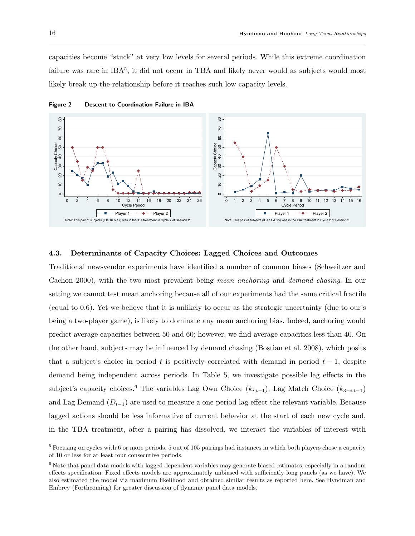capacities become "stuck" at very low levels for several periods. While this extreme coordination failure was rare in IBA<sup>5</sup>, it did not occur in TBA and likely never would as subjects would most likely break up the relationship before it reaches such low capacity levels.





# 4.3. Determinants of Capacity Choices: Lagged Choices and Outcomes

Traditional newsvendor experiments have identified a number of common biases (Schweitzer and Cachon 2000), with the two most prevalent being mean anchoring and demand chasing. In our setting we cannot test mean anchoring because all of our experiments had the same critical fractile (equal to 0.6). Yet we believe that it is unlikely to occur as the strategic uncertainty (due to our's being a two-player game), is likely to dominate any mean anchoring bias. Indeed, anchoring would predict average capacities between 50 and 60; however, we find average capacities less than 40. On the other hand, subjects may be influenced by demand chasing (Bostian et al. 2008), which posits that a subject's choice in period t is positively correlated with demand in period  $t - 1$ , despite demand being independent across periods. In Table 5, we investigate possible lag effects in the subject's capacity choices.<sup>6</sup> The variables Lag Own Choice  $(k_{i,t-1})$ , Lag Match Choice  $(k_{3-i,t-1})$ and Lag Demand  $(D_{t-1})$  are used to measure a one-period lag effect the relevant variable. Because lagged actions should be less informative of current behavior at the start of each new cycle and, in the TBA treatment, after a pairing has dissolved, we interact the variables of interest with

<sup>5</sup> Focusing on cycles with 6 or more periods, 5 out of 105 pairings had instances in which both players chose a capacity of 10 or less for at least four consecutive periods.

 $6$  Note that panel data models with lagged dependent variables may generate biased estimates, especially in a random effects specification. Fixed effects models are approximately unbiased with sufficiently long panels (as we have). We also estimated the model via maximum likelihood and obtained similar results as reported here. See Hyndman and Embrey (Forthcoming) for greater discussion of dynamic panel data models.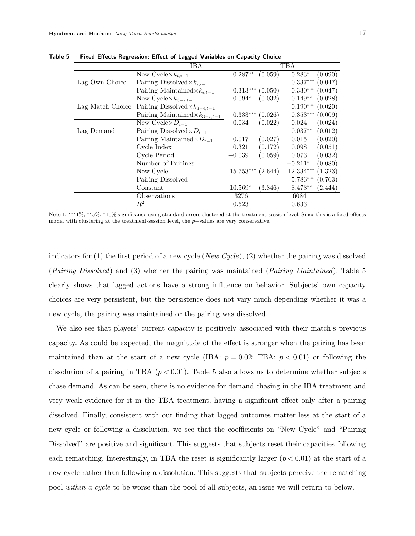|                  | IBA                                     |                        | TBA                    |
|------------------|-----------------------------------------|------------------------|------------------------|
|                  | New Cycle $\times k_{i,t-1}$            | $0.287**$<br>(0.059)   | (0.090)<br>$0.283*$    |
| Lag Own Choice   | Pairing Dissolved $\times k_{i,t-1}$    |                        | $0.337***$<br>(0.047)  |
|                  | Pairing Maintained $\times k_{i,t-1}$   | $0.313***$<br>(0.050)  | $0.330***$<br>(0.047)  |
|                  | New Cycle $\times k_{3-i,t-1}$          | (0.032)<br>$0.094*$    | $0.149**$<br>(0.028)   |
| Lag Match Choice | Pairing Dissolved $\times k_{3-i,t-1}$  |                        | $0.190***$<br>(0.020)  |
|                  | Pairing Maintained $\times k_{3-i,t-1}$ | $0.333***$<br>(0.026)  | $0.353***$<br>(0.009)  |
|                  | New Cycle $\times D_{t-1}$              | $-0.034$<br>(0.022)    | (0.024)<br>$-0.024$    |
| Lag Demand       | Pairing Dissolved $\times D_{t-1}$      |                        | (0.012)<br>$0.037**$   |
|                  | Pairing Maintained $\times D_{t-1}$     | (0.027)<br>0.017       | (0.020)<br>0.015       |
|                  | Cycle Index                             | (0.172)<br>0.321       | (0.051)<br>0.098       |
|                  | Cycle Period                            | (0.059)<br>$-0.039$    | (0.032)<br>0.073       |
|                  | Number of Pairings                      |                        | $-0.211*$<br>(0.080)   |
|                  | New Cycle                               | $15.753***$<br>(2.644) | (1.323)<br>$12.334***$ |
|                  | Pairing Dissolved                       |                        | 5.786***<br>(0.763)    |
|                  | Constant                                | (3.846)<br>$10.569*$   | $8.473**$<br>(2.444)   |
|                  | Observations                            | 3276                   | 6084                   |
|                  | $\,R^2$                                 | 0.523                  | 0.633                  |

Table 5 Fixed Effects Regression: Effect of Lagged Variables on Capacity Choice

Note 1: ∗∗∗1%, ∗∗5%, <sup>∗</sup>10% significance using standard errors clustered at the treatment-session level. Since this is a fixed-effects model with clustering at the treatment-session level, the p−values are very conservative.

indicators for (1) the first period of a new cycle (New Cycle), (2) whether the pairing was dissolved (Pairing Dissolved) and (3) whether the pairing was maintained (Pairing Maintained). Table 5 clearly shows that lagged actions have a strong influence on behavior. Subjects' own capacity choices are very persistent, but the persistence does not vary much depending whether it was a new cycle, the pairing was maintained or the pairing was dissolved.

We also see that players' current capacity is positively associated with their match's previous capacity. As could be expected, the magnitude of the effect is stronger when the pairing has been maintained than at the start of a new cycle (IBA:  $p = 0.02$ ; TBA:  $p < 0.01$ ) or following the dissolution of a pairing in TBA  $(p < 0.01)$ . Table 5 also allows us to determine whether subjects chase demand. As can be seen, there is no evidence for demand chasing in the IBA treatment and very weak evidence for it in the TBA treatment, having a significant effect only after a pairing dissolved. Finally, consistent with our finding that lagged outcomes matter less at the start of a new cycle or following a dissolution, we see that the coefficients on "New Cycle" and "Pairing Dissolved" are positive and significant. This suggests that subjects reset their capacities following each rematching. Interestingly, in TBA the reset is significantly larger  $(p < 0.01)$  at the start of a new cycle rather than following a dissolution. This suggests that subjects perceive the rematching pool within a cycle to be worse than the pool of all subjects, an issue we will return to below.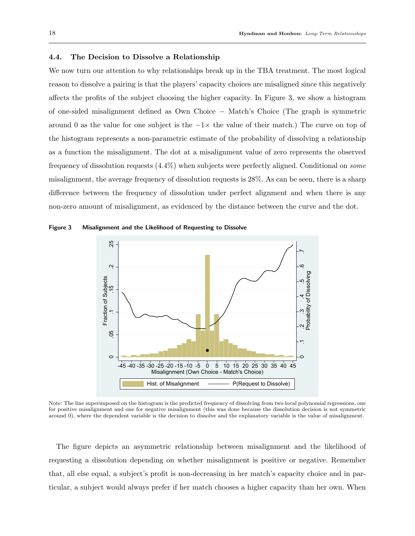#### 4.4. The Decision to Dissolve a Relationship

We now turn our attention to why relationships break up in the TBA treatment. The most logical reason to dissolve a pairing is that the players' capacity choices are misaligned since this negatively affects the profits of the subject choosing the higher capacity. In Figure 3, we show a histogram of one-sided misalignment defined as Own Choice − Match's Choice (The graph is symmetric around 0 as the value for one subject is the  $-1\times$  the value of their match.) The curve on top of the histogram represents a non-parametric estimate of the probability of dissolving a relationship as a function the misalignment. The dot at a misalignment value of zero represents the observed frequency of dissolution requests (4.4%) when subjects were perfectly aligned. Conditional on some misalignment, the average frequency of dissolution requests is 28%. As can be seen, there is a sharp difference between the frequency of dissolution under perfect alignment and when there is any non-zero amount of misalignment, as evidenced by the distance between the curve and the dot.



Figure 3 Misalignment and the Likelihood of Requesting to Dissolve

Note: The line superimposed on the histogram is the predicted frequency of dissolving from two local polynomial regressions, one for positive misalignment and one for negative misalignment (this was done because the dissolution decision is not symmetric around 0), where the dependent variable is the decision to dissolve and the explanatory variable is the value of misalignment.

The figure depicts an asymmetric relationship between misalignment and the likelihood of requesting a dissolution depending on whether misalignment is positive or negative. Remember that, all else equal, a subject's profit is non-decreasing in her match's capacity choice and in particular, a subject would always prefer if her match chooses a higher capacity than her own. When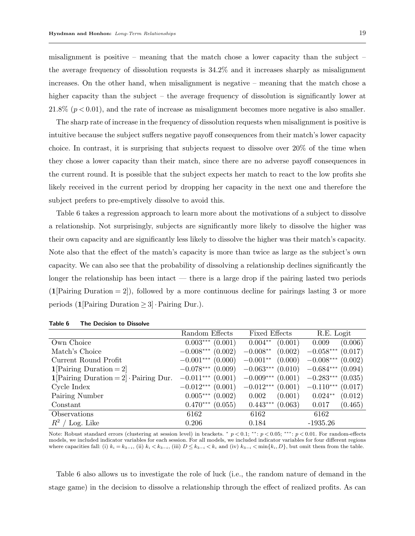misalignment is positive – meaning that the match chose a lower capacity than the subject – the average frequency of dissolution requests is 34.2% and it increases sharply as misalignment increases. On the other hand, when misalignment is negative – meaning that the match chose a higher capacity than the subject – the average frequency of dissolution is significantly lower at  $21.8\%$  ( $p < 0.01$ ), and the rate of increase as misalignment becomes more negative is also smaller.

The sharp rate of increase in the frequency of dissolution requests when misalignment is positive is intuitive because the subject suffers negative payoff consequences from their match's lower capacity choice. In contrast, it is surprising that subjects request to dissolve over 20% of the time when they chose a lower capacity than their match, since there are no adverse payoff consequences in the current round. It is possible that the subject expects her match to react to the low profits she likely received in the current period by dropping her capacity in the next one and therefore the subject prefers to pre-emptively dissolve to avoid this.

Table 6 takes a regression approach to learn more about the motivations of a subject to dissolve a relationship. Not surprisingly, subjects are significantly more likely to dissolve the higher was their own capacity and are significantly less likely to dissolve the higher was their match's capacity. Note also that the effect of the match's capacity is more than twice as large as the subject's own capacity. We can also see that the probability of dissolving a relationship declines significantly the longer the relationship has been intact — there is a large drop if the pairing lasted two periods  $(1$ [Pairing Duration = 2]), followed by a more continuous decline for pairings lasting 3 or more periods (1[Pairing Duration  $\geq 3$ ] · Pairing Dur.).

|                                                 | Random Effects         | Fixed Effects         | R.E. Logit             |
|-------------------------------------------------|------------------------|-----------------------|------------------------|
| Own Choice                                      | (0.001)<br>$0.003***$  | $0.004**$<br>(0.001)  | (0.006)<br>0.009       |
| Match's Choice                                  | $-0.008***$ (0.002)    | $-0.008**$<br>(0.002) | $-0.058***$ (0.017)    |
| Current Round Profit                            | $-0.001***$ (0.000)    | $-0.001**$<br>(0.000) | $-0.008***$ (0.002)    |
| $1$ [Pairing Duration = 2]                      | $-0.078***$ (0.009)    | $-0.063***$ (0.010)   | $-0.684***$ (0.094)    |
| $1$ [Pairing Duration = 2] $\cdot$ Pairing Dur. | $-0.011***$ (0.001)    | $-0.009***$ (0.001)   | $-0.283***$ (0.035)    |
| Cycle Index                                     | $-0.012***$<br>(0.001) | $-0.012***$ (0.001)   | $-0.110***$<br>(0.017) |
| Pairing Number                                  | (0.002)<br>$0.005***$  | (0.001)<br>0.002      | $0.024**$<br>(0.012)   |
| Constant                                        | $0.470***$<br>(0.055)  | $0.443***$<br>(0.063) | (0.465)<br>0.017       |
| Observations                                    | 6162                   | 6162                  | 6162                   |
| $R^2$<br>Log. Like                              | 0.206                  | 0.184                 | $-1935.26$             |

Note: Robust standard errors (clustering at session level) in brackets. \*  $p < 0.1$ ; \*\*:  $p < 0.05$ ; \*\*\*:  $p < 0.01$ . For random-effects models, we included indicator variables for each session. For all models, we included indicator variables for four different regions where capacities fall: (i)  $k_i = k_{3-i}$ , (ii)  $k_i < k_{3-i}$ , (iii)  $D \le k_{3-i} < k_i$  and (iv)  $k_{3-i} < \min\{k_i, D\}$ , but omit them from the table.

Table 6 also allows us to investigate the role of luck (i.e., the random nature of demand in the stage game) in the decision to dissolve a relationship through the effect of realized profits. As can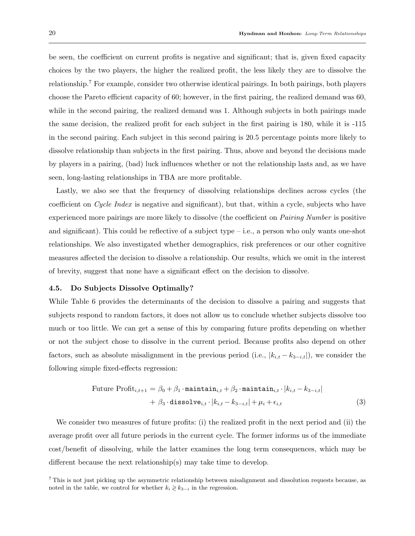be seen, the coefficient on current profits is negative and significant; that is, given fixed capacity choices by the two players, the higher the realized profit, the less likely they are to dissolve the relationship.<sup>7</sup> For example, consider two otherwise identical pairings. In both pairings, both players choose the Pareto efficient capacity of 60; however, in the first pairing, the realized demand was 60, while in the second pairing, the realized demand was 1. Although subjects in both pairings made the same decision, the realized profit for each subject in the first pairing is 180, while it is -115 in the second pairing. Each subject in this second pairing is 20.5 percentage points more likely to dissolve relationship than subjects in the first pairing. Thus, above and beyond the decisions made by players in a pairing, (bad) luck influences whether or not the relationship lasts and, as we have seen, long-lasting relationships in TBA are more profitable.

Lastly, we also see that the frequency of dissolving relationships declines across cycles (the coefficient on Cycle Index is negative and significant), but that, within a cycle, subjects who have experienced more pairings are more likely to dissolve (the coefficient on *Pairing Number* is positive and significant). This could be reflective of a subject type  $-$  i.e., a person who only wants one-shot relationships. We also investigated whether demographics, risk preferences or our other cognitive measures affected the decision to dissolve a relationship. Our results, which we omit in the interest of brevity, suggest that none have a significant effect on the decision to dissolve.

#### 4.5. Do Subjects Dissolve Optimally?

While Table 6 provides the determinants of the decision to dissolve a pairing and suggests that subjects respond to random factors, it does not allow us to conclude whether subjects dissolve too much or too little. We can get a sense of this by comparing future profits depending on whether or not the subject chose to dissolve in the current period. Because profits also depend on other factors, such as absolute misalignment in the previous period (i.e.,  $|k_{i,t} - k_{3-i,t}|$ ), we consider the following simple fixed-effects regression:

Future Profit<sub>i,t+1</sub> = 
$$
\beta_0 + \beta_1 \cdot \text{maintain}_{i,t} + \beta_2 \cdot \text{maintain}_{i,t} \cdot |k_{i,t} - k_{3-i,t}|
$$
  
+  $\beta_3 \cdot \text{dissolve}_{i,t} \cdot |k_{i,t} - k_{3-i,t}| + \mu_i + \epsilon_{i,t}$  (3)

We consider two measures of future profits: (i) the realized profit in the next period and (ii) the average profit over all future periods in the current cycle. The former informs us of the immediate cost/benefit of dissolving, while the latter examines the long term consequences, which may be different because the next relationship(s) may take time to develop.

<sup>7</sup> This is not just picking up the asymmetric relationship between misalignment and dissolution requests because, as noted in the table, we control for whether  $k_i \geq k_{3-i}$  in the regression.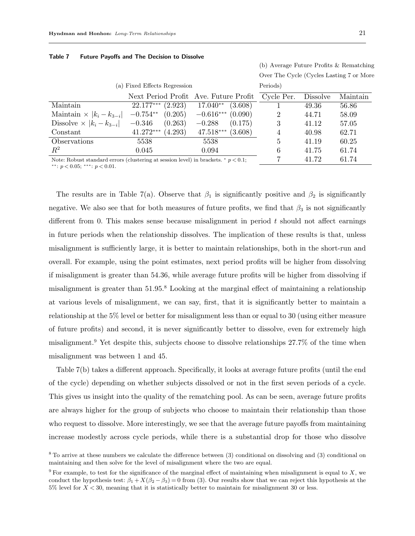|                                   | (a) Fixed Effects Regression     | Periods)                              |            |                 |          |
|-----------------------------------|----------------------------------|---------------------------------------|------------|-----------------|----------|
|                                   |                                  | Next Period Profit Ave. Future Profit | Cycle Per. | <b>Dissolve</b> | Maintain |
| Maintain                          | $22.177***$ $(2.923)$ $17.040**$ | (3.608)                               |            | 49.36           | 56.86    |
| Maintain $\times  k_i - k_{3-i} $ | (0.205)<br>$-0.754**$            | $-0.616***$ (0.090)                   | 2          | 44.71           | 58.09    |
| Dissolve $\times  k_i - k_{3-i} $ | (0.263)<br>$-0.346$              | $-0.288$<br>(0.175)                   | 3          | 41.12           | 57.05    |
| Constant                          | (4.293)<br>$41.272***$           | $47.518***$<br>(3.608)                |            | 40.98           | 62.71    |
| Observations                      | 5538                             | 5538                                  | 5          | 41.19           | 60.25    |
| $R^2$                             | 0.045                            | 0.094                                 | 6          | 41.75           | 61.74    |
|                                   |                                  |                                       |            |                 |          |

#### Table 7 Future Payoffs and The Decision to Dissolve

(b) Average Future Profits & Rematching Over The Cycle (Cycles Lasting 7 or More

Note: Robust standard errors (clustering at session level) in brackets.  $*$   $p < 0.1$ ; ∗∗: p < 0.05; ∗∗∗: p < 0.01. 7 41.72 61.74

The results are in Table 7(a). Observe that  $\beta_1$  is significantly positive and  $\beta_2$  is significantly negative. We also see that for both measures of future profits, we find that  $\beta_3$  is not significantly different from 0. This makes sense because misalignment in period  $t$  should not affect earnings in future periods when the relationship dissolves. The implication of these results is that, unless misalignment is sufficiently large, it is better to maintain relationships, both in the short-run and overall. For example, using the point estimates, next period profits will be higher from dissolving if misalignment is greater than 54.36, while average future profits will be higher from dissolving if misalignment is greater than 51.95.<sup>8</sup> Looking at the marginal effect of maintaining a relationship at various levels of misalignment, we can say, first, that it is significantly better to maintain a relationship at the 5% level or better for misalignment less than or equal to 30 (using either measure of future profits) and second, it is never significantly better to dissolve, even for extremely high misalignment.<sup>9</sup> Yet despite this, subjects choose to dissolve relationships 27.7% of the time when misalignment was between 1 and 45.

Table 7(b) takes a different approach. Specifically, it looks at average future profits (until the end of the cycle) depending on whether subjects dissolved or not in the first seven periods of a cycle. This gives us insight into the quality of the rematching pool. As can be seen, average future profits are always higher for the group of subjects who choose to maintain their relationship than those who request to dissolve. More interestingly, we see that the average future payoffs from maintaining increase modestly across cycle periods, while there is a substantial drop for those who dissolve

 $8$  To arrive at these numbers we calculate the difference between (3) conditional on dissolving and (3) conditional on maintaining and then solve for the level of misalignment where the two are equal.

<sup>&</sup>lt;sup>9</sup> For example, to test for the significance of the marginal effect of maintaining when misalignment is equal to  $X$ , we conduct the hypothesis test:  $\beta_1 + X(\beta_2 - \beta_3) = 0$  from (3). Our results show that we can reject this hypothesis at the  $5\%$  level for  $X < 30$ , meaning that it is statistically better to maintain for misalignment 30 or less.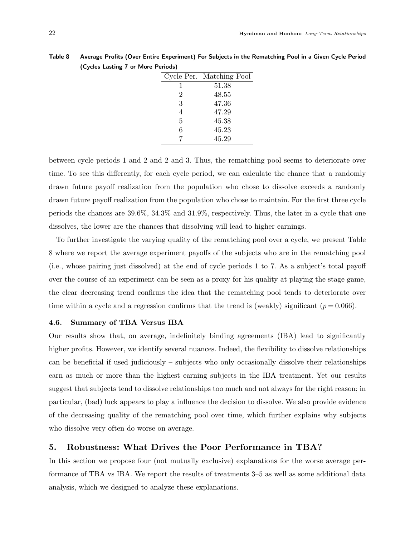| Cycle Per. Matching Pool |
|--------------------------|
| 51.38                    |
| 48.55                    |
| 47.36                    |
| 47.29                    |
| 45.38                    |
| 45.23                    |
| 45.29                    |
|                          |

Table 8 Average Profits (Over Entire Experiment) For Subjects in the Rematching Pool in a Given Cycle Period (Cycles Lasting 7 or More Periods)

between cycle periods 1 and 2 and 2 and 3. Thus, the rematching pool seems to deteriorate over time. To see this differently, for each cycle period, we can calculate the chance that a randomly drawn future payoff realization from the population who chose to dissolve exceeds a randomly drawn future payoff realization from the population who chose to maintain. For the first three cycle periods the chances are 39.6%, 34.3% and 31.9%, respectively. Thus, the later in a cycle that one dissolves, the lower are the chances that dissolving will lead to higher earnings.

To further investigate the varying quality of the rematching pool over a cycle, we present Table 8 where we report the average experiment payoffs of the subjects who are in the rematching pool (i.e., whose pairing just dissolved) at the end of cycle periods 1 to 7. As a subject's total payoff over the course of an experiment can be seen as a proxy for his quality at playing the stage game, the clear decreasing trend confirms the idea that the rematching pool tends to deteriorate over time within a cycle and a regression confirms that the trend is (weakly) significant ( $p = 0.066$ ).

## 4.6. Summary of TBA Versus IBA

Our results show that, on average, indefinitely binding agreements (IBA) lead to significantly higher profits. However, we identify several nuances. Indeed, the flexibility to dissolve relationships can be beneficial if used judiciously – subjects who only occasionally dissolve their relationships earn as much or more than the highest earning subjects in the IBA treatment. Yet our results suggest that subjects tend to dissolve relationships too much and not always for the right reason; in particular, (bad) luck appears to play a influence the decision to dissolve. We also provide evidence of the decreasing quality of the rematching pool over time, which further explains why subjects who dissolve very often do worse on average.

# 5. Robustness: What Drives the Poor Performance in TBA?

In this section we propose four (not mutually exclusive) explanations for the worse average performance of TBA vs IBA. We report the results of treatments 3–5 as well as some additional data analysis, which we designed to analyze these explanations.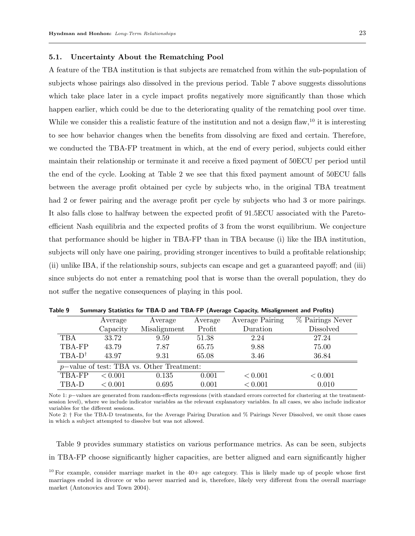## 5.1. Uncertainty About the Rematching Pool

A feature of the TBA institution is that subjects are rematched from within the sub-population of subjects whose pairings also dissolved in the previous period. Table 7 above suggests dissolutions which take place later in a cycle impact profits negatively more significantly than those which happen earlier, which could be due to the deteriorating quality of the rematching pool over time. While we consider this a realistic feature of the institution and not a design flaw,  $^{10}$  it is interesting to see how behavior changes when the benefits from dissolving are fixed and certain. Therefore, we conducted the TBA-FP treatment in which, at the end of every period, subjects could either maintain their relationship or terminate it and receive a fixed payment of 50ECU per period until the end of the cycle. Looking at Table 2 we see that this fixed payment amount of 50ECU falls between the average profit obtained per cycle by subjects who, in the original TBA treatment had 2 or fewer pairing and the average profit per cycle by subjects who had 3 or more pairings. It also falls close to halfway between the expected profit of 91.5ECU associated with the Paretoefficient Nash equilibria and the expected profits of 3 from the worst equilibrium. We conjecture that performance should be higher in TBA-FP than in TBA because (i) like the IBA institution, subjects will only have one pairing, providing stronger incentives to build a profitable relationship; (ii) unlike IBA, if the relationship sours, subjects can escape and get a guaranteed payoff; and (iii) since subjects do not enter a rematching pool that is worse than the overall population, they do not suffer the negative consequences of playing in this pool.

|                   | Average  | Average                                      | Average | Average Pairing | % Pairings Never |
|-------------------|----------|----------------------------------------------|---------|-----------------|------------------|
|                   | Capacity | Misalignment                                 | Profit  | Duration        | <b>Dissolved</b> |
| TBA               | 33.72    | 9.59                                         | 51.38   | 2.24            | 27.24            |
| TBA-FP            | 43.79    | 7.87                                         | 65.75   | 9.88            | 75.00            |
| $TBA-D^{\dagger}$ | 43.97    | 9.31                                         | 65.08   | 3.46            | 36.84            |
|                   |          | $p$ -value of test: TBA vs. Other Treatment: |         |                 |                  |
| TBA-FP            | < 0.001  | 0.135                                        | 0.001   | < 0.001         | < 0.001          |
| TBA-D             | < 0.001  | 0.695                                        | 0.001   | < 0.001         | 0.010            |

Table 9 Summary Statistics for TBA-D and TBA-FP (Average Capacity, Misalignment and Profits)

Note 1: p−values are generated from random-effects regressions (with standard errors corrected for clustering at the treatmentsession level), where we include indicator variables as the relevant explanatory variables. In all cases, we also include indicator variables for the different sessions.

Note 2: † For the TBA-D treatments, for the Average Pairing Duration and % Pairings Never Dissolved, we omit those cases in which a subject attempted to dissolve but was not allowed.

Table 9 provides summary statistics on various performance metrics. As can be seen, subjects in TBA-FP choose significantly higher capacities, are better aligned and earn significantly higher

 $10$  For example, consider marriage market in the  $40+$  age category. This is likely made up of people whose first marriages ended in divorce or who never married and is, therefore, likely very different from the overall marriage market (Antonovics and Town 2004).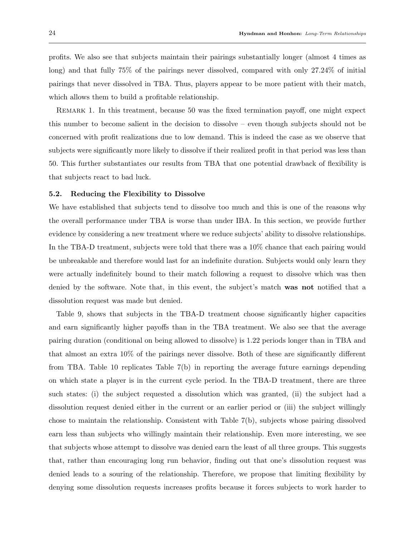profits. We also see that subjects maintain their pairings substantially longer (almost 4 times as long) and that fully 75% of the pairings never dissolved, compared with only 27.24% of initial pairings that never dissolved in TBA. Thus, players appear to be more patient with their match, which allows them to build a profitable relationship.

REMARK 1. In this treatment, because 50 was the fixed termination payoff, one might expect this number to become salient in the decision to dissolve – even though subjects should not be concerned with profit realizations due to low demand. This is indeed the case as we observe that subjects were significantly more likely to dissolve if their realized profit in that period was less than 50. This further substantiates our results from TBA that one potential drawback of flexibility is that subjects react to bad luck.

## 5.2. Reducing the Flexibility to Dissolve

We have established that subjects tend to dissolve too much and this is one of the reasons why the overall performance under TBA is worse than under IBA. In this section, we provide further evidence by considering a new treatment where we reduce subjects' ability to dissolve relationships. In the TBA-D treatment, subjects were told that there was a 10% chance that each pairing would be unbreakable and therefore would last for an indefinite duration. Subjects would only learn they were actually indefinitely bound to their match following a request to dissolve which was then denied by the software. Note that, in this event, the subject's match was not notified that a dissolution request was made but denied.

Table 9, shows that subjects in the TBA-D treatment choose significantly higher capacities and earn significantly higher payoffs than in the TBA treatment. We also see that the average pairing duration (conditional on being allowed to dissolve) is 1.22 periods longer than in TBA and that almost an extra 10% of the pairings never dissolve. Both of these are significantly different from TBA. Table 10 replicates Table 7(b) in reporting the average future earnings depending on which state a player is in the current cycle period. In the TBA-D treatment, there are three such states: (i) the subject requested a dissolution which was granted, (ii) the subject had a dissolution request denied either in the current or an earlier period or (iii) the subject willingly chose to maintain the relationship. Consistent with Table 7(b), subjects whose pairing dissolved earn less than subjects who willingly maintain their relationship. Even more interesting, we see that subjects whose attempt to dissolve was denied earn the least of all three groups. This suggests that, rather than encouraging long run behavior, finding out that one's dissolution request was denied leads to a souring of the relationship. Therefore, we propose that limiting flexibility by denying some dissolution requests increases profits because it forces subjects to work harder to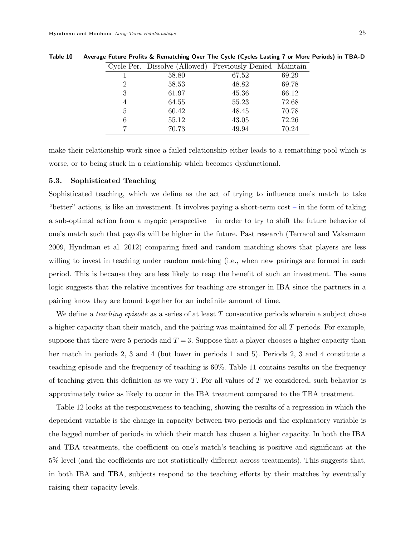|                | Cycle Per. Dissolve (Allowed) Previously Denied Maintain |       |       |
|----------------|----------------------------------------------------------|-------|-------|
|                | 58.80                                                    | 67.52 | 69.29 |
| $\overline{2}$ | 58.53                                                    | 48.82 | 69.78 |
| 3              | 61.97                                                    | 45.36 | 66.12 |
| $\overline{4}$ | 64.55                                                    | 55.23 | 72.68 |
| 5              | 60.42                                                    | 48.45 | 70.78 |
| 6              | 55.12                                                    | 43.05 | 72.26 |
|                | 70.73                                                    | 49.94 | 70.24 |

Table 10 Average Future Profits & Rematching Over The Cycle (Cycles Lasting 7 or More Periods) in TBA-D

make their relationship work since a failed relationship either leads to a rematching pool which is worse, or to being stuck in a relationship which becomes dysfunctional.

# 5.3. Sophisticated Teaching

Sophisticated teaching, which we define as the act of trying to influence one's match to take "better" actions, is like an investment. It involves paying a short-term cost – in the form of taking a sub-optimal action from a myopic perspective – in order to try to shift the future behavior of one's match such that payoffs will be higher in the future. Past research (Terracol and Vaksmann 2009, Hyndman et al. 2012) comparing fixed and random matching shows that players are less willing to invest in teaching under random matching (i.e., when new pairings are formed in each period. This is because they are less likely to reap the benefit of such an investment. The same logic suggests that the relative incentives for teaching are stronger in IBA since the partners in a pairing know they are bound together for an indefinite amount of time.

We define a teaching episode as a series of at least  $T$  consecutive periods wherein a subject chose a higher capacity than their match, and the pairing was maintained for all T periods. For example, suppose that there were 5 periods and  $T = 3$ . Suppose that a player chooses a higher capacity than her match in periods 2, 3 and 4 (but lower in periods 1 and 5). Periods 2, 3 and 4 constitute a teaching episode and the frequency of teaching is 60%. Table 11 contains results on the frequency of teaching given this definition as we vary T. For all values of T we considered, such behavior is approximately twice as likely to occur in the IBA treatment compared to the TBA treatment.

Table 12 looks at the responsiveness to teaching, showing the results of a regression in which the dependent variable is the change in capacity between two periods and the explanatory variable is the lagged number of periods in which their match has chosen a higher capacity. In both the IBA and TBA treatments, the coefficient on one's match's teaching is positive and significant at the 5% level (and the coefficients are not statistically different across treatments). This suggests that, in both IBA and TBA, subjects respond to the teaching efforts by their matches by eventually raising their capacity levels.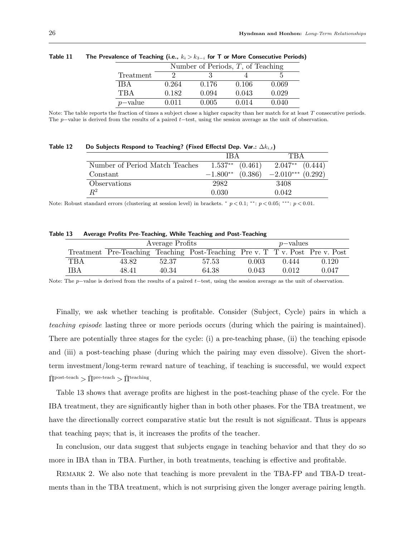|            | Number of Periods, $T$ , of Teaching |       |       |       |  |  |
|------------|--------------------------------------|-------|-------|-------|--|--|
| Treatment  |                                      |       |       |       |  |  |
| IBA        | 0.264                                | 0.176 | 0.106 | 0.069 |  |  |
| <b>TRA</b> | 0.182                                | 0.094 | 0.043 | 0.029 |  |  |
| $p$ -value | D 011                                | 0.005 | 0 014 | 0.040 |  |  |

Table 11 The Prevalence of Teaching (i.e.,  $k_i > k_{3-i}$  for T or More Consecutive Periods)

Note: The table reports the fraction of times a subject chose a higher capacity than her match for at least  $T$  consecutive periods. The p–value is derived from the results of a paired t–test, using the session average as the unit of observation.

## Table 12 Do Subjects Respond to Teaching? (Fixed Effectsl Dep. Var.:  $\Delta k_{i,t}$ )

|                                | IR A                | TR A                |  |
|--------------------------------|---------------------|---------------------|--|
| Number of Period Match Teaches | $1.537**$ $(0.461)$ | $2.047**$ $(0.444)$ |  |
| Constant                       | $-1.800**$ (0.386)  | $-2.010***$ (0.292) |  |
| Observations                   | 2982                | 3408                |  |
| $R^2$                          | 0.030               | 0.042               |  |

Note: Robust standard errors (clustering at session level) in brackets.  $\gamma p < 0.1$ ; \*\*:  $p < 0.05$ ; \*\*\*:  $p < 0.01$ .

Table 13 Average Profits Pre-Teaching, While Teaching and Post-Teaching

|      | Average Profits |       |                                                                              | $p$ -values |       |       |
|------|-----------------|-------|------------------------------------------------------------------------------|-------------|-------|-------|
|      |                 |       | Treatment Pre-Teaching Teaching Post-Teaching Pre v. T T v. Post Pre v. Post |             |       |       |
| TBA  | 43.82           | 52.37 | 57.53                                                                        | 0.003       | 0.444 | 0.120 |
| IB A | 48.41           | 40.34 | 64.38                                                                        | 0.043       | 0.012 | 0.047 |

Note: The p−value is derived from the results of a paired t−test, using the session average as the unit of observation.

Finally, we ask whether teaching is profitable. Consider (Subject, Cycle) pairs in which a teaching episode lasting three or more periods occurs (during which the pairing is maintained). There are potentially three stages for the cycle: (i) a pre-teaching phase, (ii) the teaching episode and (iii) a post-teaching phase (during which the pairing may even dissolve). Given the shortterm investment/long-term reward nature of teaching, if teaching is successful, we would expect  $\bar{\Pi}^{\text{post-teach}} > \bar{\Pi}^{\text{pre-teach}} > \bar{\Pi}^{\text{teaching}}.$ 

Table 13 shows that average profits are highest in the post-teaching phase of the cycle. For the IBA treatment, they are significantly higher than in both other phases. For the TBA treatment, we have the directionally correct comparative static but the result is not significant. Thus is appears that teaching pays; that is, it increases the profits of the teacher.

In conclusion, our data suggest that subjects engage in teaching behavior and that they do so more in IBA than in TBA. Further, in both treatments, teaching is effective and profitable.

REMARK 2. We also note that teaching is more prevalent in the TBA-FP and TBA-D treatments than in the TBA treatment, which is not surprising given the longer average pairing length.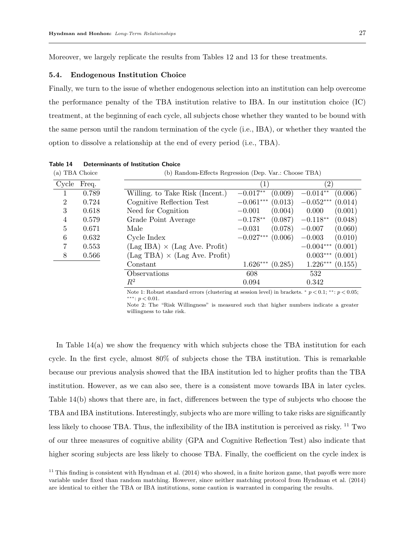Moreover, we largely replicate the results from Tables 12 and 13 for these treatments.

#### 5.4. Endogenous Institution Choice

Finally, we turn to the issue of whether endogenous selection into an institution can help overcome the performance penalty of the TBA institution relative to IBA. In our institution choice (IC) treatment, at the beginning of each cycle, all subjects chose whether they wanted to be bound with the same person until the random termination of the cycle (i.e., IBA), or whether they wanted the option to dissolve a relationship at the end of every period (i.e., TBA).

| (a) TBA Choice<br>(b) Random-Effects Regression (Dep. Var.: Choose TBA) |       |                                                    |                        |                        |
|-------------------------------------------------------------------------|-------|----------------------------------------------------|------------------------|------------------------|
| Cycle                                                                   | Freq. |                                                    |                        | $^{\prime}2$ ,         |
|                                                                         | 0.789 | Willing. to Take Risk (Incent.)                    | $-0.017**$<br>(0.009)  | $-0.014**$<br>(0.006)  |
| $\overline{2}$                                                          | 0.724 | Cognitive Reflection Test                          | $-0.061***$<br>(0.013) | $-0.052***$<br>(0.014) |
| 3                                                                       | 0.618 | Need for Cognition                                 | $-0.001$<br>(0.004)    | 0.000<br>(0.001)       |
| $\overline{4}$                                                          | 0.579 | Grade Point Average                                | $-0.178**$<br>(0.087)  | $-0.118**$<br>(0.048)  |
| 5                                                                       | 0.671 | Male                                               | (0.078)<br>$-0.031$    | (0.060)<br>$-0.007$    |
| 6                                                                       | 0.632 | Cycle Index                                        | $-0.027***$<br>(0.006) | (0.010)<br>$-0.003$    |
| 7                                                                       | 0.553 | $\text{(Lag IBA)} \times \text{(Lag Ave. Profit)}$ |                        | $-0.004***$<br>(0.001) |
| 8                                                                       | 0.566 | $\text{(Lag TBA)} \times \text{(Lag Ave. Profit)}$ |                        | $0.003***$<br>(0.001)  |
|                                                                         |       | Constant                                           | $1.626***$<br>(0.285)  | $1.226***$<br>(0.155)  |
|                                                                         |       | Observations                                       | 608                    | 532                    |
|                                                                         |       | $\,R^2$                                            | 0.094                  | 0.342                  |

Table 14 Determinants of Institution Choice

Note 1: Robust standard errors (clustering at session level) in brackets.  $* p \lt 0.1; **: p \lt 0.05;$ ∗∗∗: p < 0.01.

Note 2: The "Risk Willingness" is measured such that higher numbers indicate a greater willingness to take risk.

In Table 14(a) we show the frequency with which subjects chose the TBA institution for each cycle. In the first cycle, almost 80% of subjects chose the TBA institution. This is remarkable because our previous analysis showed that the IBA institution led to higher profits than the TBA institution. However, as we can also see, there is a consistent move towards IBA in later cycles. Table 14(b) shows that there are, in fact, differences between the type of subjects who choose the TBA and IBA institutions. Interestingly, subjects who are more willing to take risks are significantly less likely to choose TBA. Thus, the inflexibility of the IBA institution is perceived as risky. <sup>11</sup> Two of our three measures of cognitive ability (GPA and Cognitive Reflection Test) also indicate that higher scoring subjects are less likely to choose TBA. Finally, the coefficient on the cycle index is

 $11$  This finding is consistent with Hyndman et al. (2014) who showed, in a finite horizon game, that payoffs were more variable under fixed than random matching. However, since neither matching protocol from Hyndman et al. (2014) are identical to either the TBA or IBA institutions, some caution is warranted in comparing the results.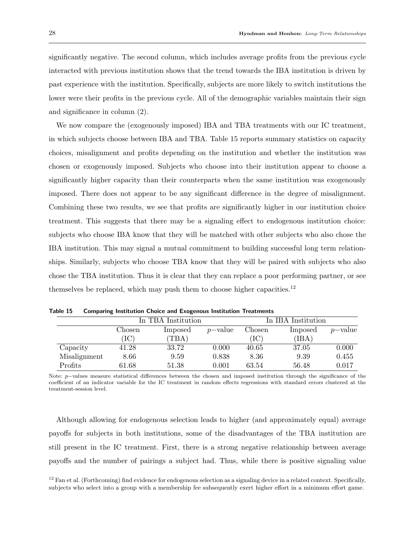significantly negative. The second column, which includes average profits from the previous cycle interacted with previous institution shows that the trend towards the IBA institution is driven by past experience with the institution. Specifically, subjects are more likely to switch institutions the lower were their profits in the previous cycle. All of the demographic variables maintain their sign and significance in column (2).

We now compare the (exogenously imposed) IBA and TBA treatments with our IC treatment, in which subjects choose between IBA and TBA. Table 15 reports summary statistics on capacity choices, misalignment and profits depending on the institution and whether the institution was chosen or exogenously imposed. Subjects who choose into their institution appear to choose a significantly higher capacity than their counterparts when the same institution was exogenously imposed. There does not appear to be any significant difference in the degree of misalignment. Combining these two results, we see that profits are significantly higher in our institution choice treatment. This suggests that there may be a signaling effect to endogenous institution choice: subjects who choose IBA know that they will be matched with other subjects who also chose the IBA institution. This may signal a mutual commitment to building successful long term relationships. Similarly, subjects who choose TBA know that they will be paired with subjects who also chose the TBA institution. Thus it is clear that they can replace a poor performing partner, or see themselves be replaced, which may push them to choose higher capacities.<sup>12</sup>

|              | In TBA Institution |         |            | In IBA Institution |         |            |
|--------------|--------------------|---------|------------|--------------------|---------|------------|
|              | Chosen             | Imposed | $p$ -value | Chosen             | Imposed | $p$ -value |
|              | TC)                | (TBA)   |            | $\rm{IC}$          | ΊBΑ`    |            |
| Capacity     | 41.28              | 33.72   | 0.000      | 40.65              | 37.05   | 0.000      |
| Misalignment | 8.66               | 9.59    | 0.838      | 8.36               | 9.39    | 0.455      |
| Profits      | 61.68              | 51.38   | 0.001      | 63.54              | 56.48   | 0.017      |

Table 15 Comparing Institution Choice and Exogenous Institution Treatments

Note: p−values measure statistical differences between the chosen and imposed institution through the significance of the coefficient of an indicator variable for the IC treatment in random effects regressions with standard errors clustered at the treatment-session level.

Although allowing for endogenous selection leads to higher (and approximately equal) average payoffs for subjects in both institutions, some of the disadvantages of the TBA institution are still present in the IC treatment. First, there is a strong negative relationship between average payoffs and the number of pairings a subject had. Thus, while there is positive signaling value

 $12$  Fan et al. (Forthcoming) find evidence for endogenous selection as a signaling device in a related context. Specifically, subjects who select into a group with a membership fee subsequently exert higher effort in a minimum effort game.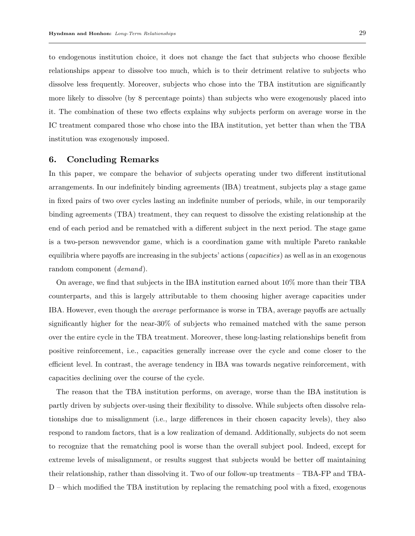to endogenous institution choice, it does not change the fact that subjects who choose flexible relationships appear to dissolve too much, which is to their detriment relative to subjects who dissolve less frequently. Moreover, subjects who chose into the TBA institution are significantly more likely to dissolve (by 8 percentage points) than subjects who were exogenously placed into it. The combination of these two effects explains why subjects perform on average worse in the IC treatment compared those who chose into the IBA institution, yet better than when the TBA institution was exogenously imposed.

# 6. Concluding Remarks

In this paper, we compare the behavior of subjects operating under two different institutional arrangements. In our indefinitely binding agreements (IBA) treatment, subjects play a stage game in fixed pairs of two over cycles lasting an indefinite number of periods, while, in our temporarily binding agreements (TBA) treatment, they can request to dissolve the existing relationship at the end of each period and be rematched with a different subject in the next period. The stage game is a two-person newsvendor game, which is a coordination game with multiple Pareto rankable equilibria where payoffs are increasing in the subjects' actions (capacities) as well as in an exogenous random component *(demand)*.

On average, we find that subjects in the IBA institution earned about 10% more than their TBA counterparts, and this is largely attributable to them choosing higher average capacities under IBA. However, even though the average performance is worse in TBA, average payoffs are actually significantly higher for the near-30% of subjects who remained matched with the same person over the entire cycle in the TBA treatment. Moreover, these long-lasting relationships benefit from positive reinforcement, i.e., capacities generally increase over the cycle and come closer to the efficient level. In contrast, the average tendency in IBA was towards negative reinforcement, with capacities declining over the course of the cycle.

The reason that the TBA institution performs, on average, worse than the IBA institution is partly driven by subjects over-using their flexibility to dissolve. While subjects often dissolve relationships due to misalignment (i.e., large differences in their chosen capacity levels), they also respond to random factors, that is a low realization of demand. Additionally, subjects do not seem to recognize that the rematching pool is worse than the overall subject pool. Indeed, except for extreme levels of misalignment, or results suggest that subjects would be better off maintaining their relationship, rather than dissolving it. Two of our follow-up treatments – TBA-FP and TBA-D – which modified the TBA institution by replacing the rematching pool with a fixed, exogenous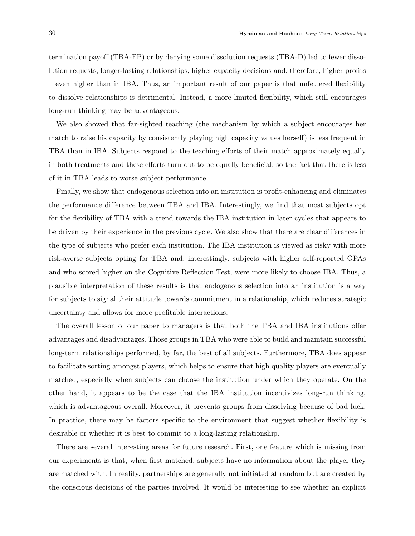termination payoff (TBA-FP) or by denying some dissolution requests (TBA-D) led to fewer dissolution requests, longer-lasting relationships, higher capacity decisions and, therefore, higher profits – even higher than in IBA. Thus, an important result of our paper is that unfettered flexibility to dissolve relationships is detrimental. Instead, a more limited flexibility, which still encourages long-run thinking may be advantageous.

We also showed that far-sighted teaching (the mechanism by which a subject encourages her match to raise his capacity by consistently playing high capacity values herself) is less frequent in TBA than in IBA. Subjects respond to the teaching efforts of their match approximately equally in both treatments and these efforts turn out to be equally beneficial, so the fact that there is less of it in TBA leads to worse subject performance.

Finally, we show that endogenous selection into an institution is profit-enhancing and eliminates the performance difference between TBA and IBA. Interestingly, we find that most subjects opt for the flexibility of TBA with a trend towards the IBA institution in later cycles that appears to be driven by their experience in the previous cycle. We also show that there are clear differences in the type of subjects who prefer each institution. The IBA institution is viewed as risky with more risk-averse subjects opting for TBA and, interestingly, subjects with higher self-reported GPAs and who scored higher on the Cognitive Reflection Test, were more likely to choose IBA. Thus, a plausible interpretation of these results is that endogenous selection into an institution is a way for subjects to signal their attitude towards commitment in a relationship, which reduces strategic uncertainty and allows for more profitable interactions.

The overall lesson of our paper to managers is that both the TBA and IBA institutions offer advantages and disadvantages. Those groups in TBA who were able to build and maintain successful long-term relationships performed, by far, the best of all subjects. Furthermore, TBA does appear to facilitate sorting amongst players, which helps to ensure that high quality players are eventually matched, especially when subjects can choose the institution under which they operate. On the other hand, it appears to be the case that the IBA institution incentivizes long-run thinking, which is advantageous overall. Moreover, it prevents groups from dissolving because of bad luck. In practice, there may be factors specific to the environment that suggest whether flexibility is desirable or whether it is best to commit to a long-lasting relationship.

There are several interesting areas for future research. First, one feature which is missing from our experiments is that, when first matched, subjects have no information about the player they are matched with. In reality, partnerships are generally not initiated at random but are created by the conscious decisions of the parties involved. It would be interesting to see whether an explicit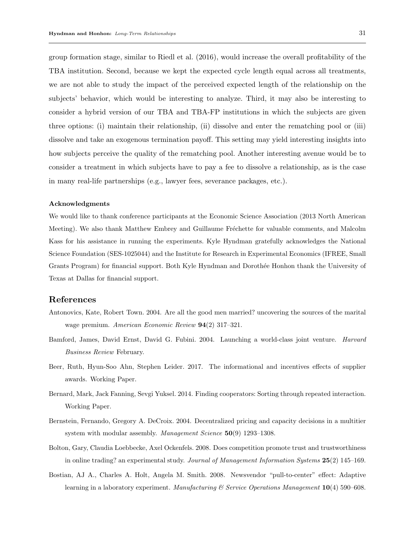group formation stage, similar to Riedl et al. (2016), would increase the overall profitability of the TBA institution. Second, because we kept the expected cycle length equal across all treatments, we are not able to study the impact of the perceived expected length of the relationship on the subjects' behavior, which would be interesting to analyze. Third, it may also be interesting to consider a hybrid version of our TBA and TBA-FP institutions in which the subjects are given three options: (i) maintain their relationship, (ii) dissolve and enter the rematching pool or (iii) dissolve and take an exogenous termination payoff. This setting may yield interesting insights into how subjects perceive the quality of the rematching pool. Another interesting avenue would be to consider a treatment in which subjects have to pay a fee to dissolve a relationship, as is the case in many real-life partnerships (e.g., lawyer fees, severance packages, etc.).

# Acknowledgments

We would like to thank conference participants at the Economic Science Association (2013 North American Meeting). We also thank Matthew Embrey and Guillaume Fréchette for valuable comments, and Malcolm Kass for his assistance in running the experiments. Kyle Hyndman gratefully acknowledges the National Science Foundation (SES-1025044) and the Institute for Research in Experimental Economics (IFREE, Small Grants Program) for financial support. Both Kyle Hyndman and Dorothée Honhon thank the University of Texas at Dallas for financial support.

# References

- Antonovics, Kate, Robert Town. 2004. Are all the good men married? uncovering the sources of the marital wage premium. American Economic Review 94(2) 317-321.
- Bamford, James, David Ernst, David G. Fubini. 2004. Launching a world-class joint venture. Harvard Business Review February.
- Beer, Ruth, Hyun-Soo Ahn, Stephen Leider. 2017. The informational and incentives effects of supplier awards. Working Paper.
- Bernard, Mark, Jack Fanning, Sevgi Yuksel. 2014. Finding cooperators: Sorting through repeated interaction. Working Paper.
- Bernstein, Fernando, Gregory A. DeCroix. 2004. Decentralized pricing and capacity decisions in a multitier system with modular assembly. *Management Science*  $50(9)$  1293–1308.
- Bolton, Gary, Claudia Loebbecke, Axel Ockenfels. 2008. Does competition promote trust and trustworthiness in online trading? an experimental study. Journal of Management Information Systems  $25(2)$  145–169.
- Bostian, AJ A., Charles A. Holt, Angela M. Smith. 2008. Newsvendor "pull-to-center" effect: Adaptive learning in a laboratory experiment. Manufacturing  $\mathscr C$  Service Operations Management  $\mathbf{10}(4)$  590–608.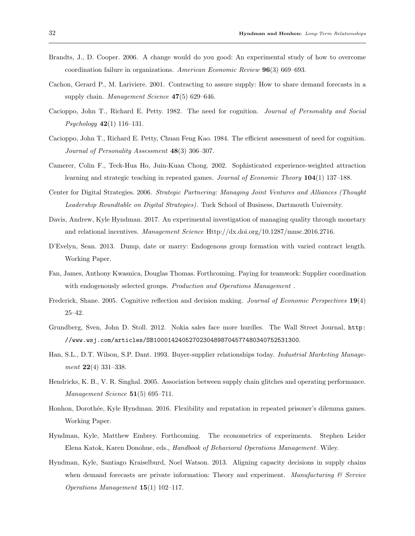- Brandts, J., D. Cooper. 2006. A change would do you good: An experimental study of how to overcome coordination failure in organizations. American Economic Review 96(3) 669–693.
- Cachon, Gerard P., M. Lariviere. 2001. Contracting to assure supply: How to share demand forecasts in a supply chain. Management Science 47(5) 629-646.
- Cacioppo, John T., Richard E. Petty. 1982. The need for cognition. Journal of Personality and Social *Psychology* 42(1) 116–131.
- Cacioppo, John T., Richard E. Petty, Chuan Feng Kao. 1984. The efficient assessment of need for cognition. Journal of Personality Assessment 48(3) 306–307.
- Camerer, Colin F., Teck-Hua Ho, Juin-Kuan Chong. 2002. Sophisticated experience-weighted attraction learning and strategic teaching in repeated games. Journal of Economic Theory 104(1) 137–188.
- Center for Digital Strategies. 2006. Strategic Partnering: Managing Joint Ventures and Alliances (Thought Leadership Roundtable on Digital Strategies). Tuck School of Business, Dartmouth University.
- Davis, Andrew, Kyle Hyndman. 2017. An experimental investigation of managing quality through monetary and relational incentives. Management Science Http://dx.doi.org/10.1287/mnsc.2016.2716.
- D'Evelyn, Sean. 2013. Dump, date or marry: Endogenous group formation with varied contract length. Working Paper.
- Fan, James, Anthony Kwasnica, Douglas Thomas. Forthcoming. Paying for teamwork: Supplier coordination with endogenously selected groups. Production and Operations Management.
- Frederick, Shane. 2005. Cognitive reflection and decision making. Journal of Economic Perspectives 19(4) 25–42.
- Grundberg, Sven, John D. Stoll. 2012. Nokia sales face more hurdles. The Wall Street Journal, http: //www.wsj.com/articles/SB10001424052702304898704577480340752531300.
- Han, S.L., D.T. Wilson, S.P. Dant. 1993. Buyer-supplier relationships today. Industrial Marketing Management 22(4) 331–338.
- Hendricks, K. B., V. R. Singhal. 2005. Association between supply chain glitches and operating performance. Management Science  $51(5)$  695-711.
- Honhon, Doroth´ee, Kyle Hyndman. 2016. Flexibility and reputation in repeated prisoner's dilemma games. Working Paper.
- Hyndman, Kyle, Matthew Embrey. Forthcoming. The econometrics of experiments. Stephen Leider Elena Katok, Karen Donohue, eds., Handbook of Behavioral Operations Management. Wiley.
- Hyndman, Kyle, Santiago Kraiselburd, Noel Watson. 2013. Aligning capacity decisions in supply chains when demand forecasts are private information: Theory and experiment. Manufacturing  $\mathcal C$  Service Operations Management 15(1) 102–117.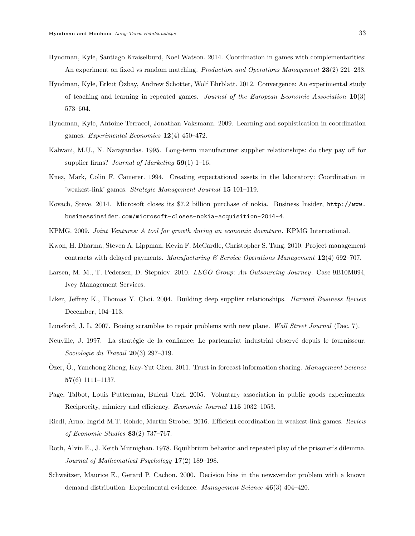- Hyndman, Kyle, Santiago Kraiselburd, Noel Watson. 2014. Coordination in games with complementarities: An experiment on fixed vs random matching. *Production and Operations Management* 23(2) 221–238.
- Hyndman, Kyle, Erkut Ozbay, Andrew Schotter, Wolf Ehrblatt. 2012. Convergence: An experimental study ¨ of teaching and learning in repeated games. Journal of the European Economic Association  $10(3)$ 573–604.
- Hyndman, Kyle, Antoine Terracol, Jonathan Vaksmann. 2009. Learning and sophistication in coordination games. Experimental Economics  $12(4)$  450-472.
- Kalwani, M.U., N. Narayandas. 1995. Long-term manufacturer supplier relationships: do they pay off for supplier firms? Journal of Marketing  $59(1)$  1–16.
- Knez, Mark, Colin F. Camerer. 1994. Creating expectational assets in the laboratory: Coordination in 'weakest-link' games. Strategic Management Journal 15 101–119.
- Kovach, Steve. 2014. Microsoft closes its \$7.2 billion purchase of nokia. Business Insider, http://www. businessinsider.com/microsoft-closes-nokia-acquisition-2014-4.
- KPMG. 2009. Joint Ventures: A tool for growth during an economic downturn. KPMG International.
- Kwon, H. Dharma, Steven A. Lippman, Kevin F. McCardle, Christopher S. Tang. 2010. Project management contracts with delayed payments. Manufacturing  $\mathscr B$  Service Operations Management 12(4) 692–707.
- Larsen, M. M., T. Pedersen, D. Stepniov. 2010. LEGO Group: An Outsourcing Journey. Case 9B10M094, Ivey Management Services.
- Liker, Jeffrey K., Thomas Y. Choi. 2004. Building deep supplier relationships. *Harvard Business Review* December, 104–113.
- Lunsford, J. L. 2007. Boeing scrambles to repair problems with new plane. Wall Street Journal (Dec. 7).
- Neuville, J. 1997. La stratégie de la confiance: Le partenariat industrial observé depuis le fournisseur. Sociologie du Travail 20(3) 297–319.
- Özer, Ö., Yanchong Zheng, Kay-Yut Chen. 2011. Trust in forecast information sharing. Management Science 57(6) 1111–1137.
- Page, Talbot, Louis Putterman, Bulent Unel. 2005. Voluntary association in public goods experiments: Reciprocity, mimicry and efficiency. *Economic Journal* 115 1032–1053.
- Riedl, Arno, Ingrid M.T. Rohde, Martin Strobel. 2016. Efficient coordination in weakest-link games. Review of Economic Studies 83(2) 737–767.
- Roth, Alvin E., J. Keith Murnighan. 1978. Equilibrium behavior and repeated play of the prisoner's dilemma. Journal of Mathematical Psychology 17(2) 189–198.
- Schweitzer, Maurice E., Gerard P. Cachon. 2000. Decision bias in the newsvendor problem with a known demand distribution: Experimental evidence. Management Science 46(3) 404-420.